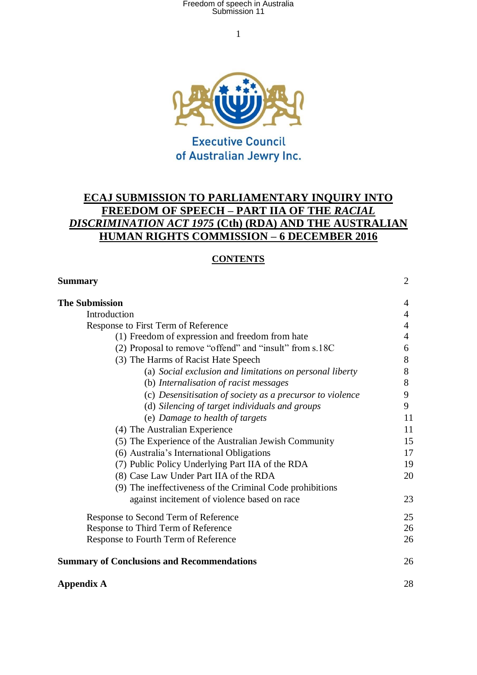1



### **Executive Council** of Australian Jewry Inc.

### **ECAJ SUBMISSION TO PARLIAMENTARY INQUIRY INTO FREEDOM OF SPEECH – PART IIA OF THE** *RACIAL DISCRIMINATION ACT 1975* **(Cth) (RDA) AND THE AUSTRALIAN HUMAN RIGHTS COMMISSION – 6 DECEMBER 2016**

#### **CONTENTS**

| <b>Summary</b>                                            | $\overline{2}$ |
|-----------------------------------------------------------|----------------|
| <b>The Submission</b>                                     | 4              |
| Introduction                                              | 4              |
| Response to First Term of Reference                       | 4              |
| (1) Freedom of expression and freedom from hate           | 4              |
| (2) Proposal to remove "offend" and "insult" from s.18C   | 6              |
| (3) The Harms of Racist Hate Speech                       | 8              |
| (a) Social exclusion and limitations on personal liberty  | 8              |
| (b) Internalisation of racist messages                    | 8              |
| (c) Desensitisation of society as a precursor to violence | 9              |
| (d) Silencing of target individuals and groups            | 9              |
| (e) Damage to health of targets                           | 11             |
| (4) The Australian Experience                             | 11             |
| (5) The Experience of the Australian Jewish Community     | 15             |
| (6) Australia's International Obligations                 | 17             |
| (7) Public Policy Underlying Part IIA of the RDA          | 19             |
| (8) Case Law Under Part IIA of the RDA                    | 20             |
| (9) The ineffectiveness of the Criminal Code prohibitions |                |
| against incitement of violence based on race              | 23             |
| Response to Second Term of Reference                      | 25             |
| Response to Third Term of Reference                       | 26             |
| Response to Fourth Term of Reference                      | 26             |
| <b>Summary of Conclusions and Recommendations</b>         | 26             |
| <b>Appendix A</b>                                         | 28             |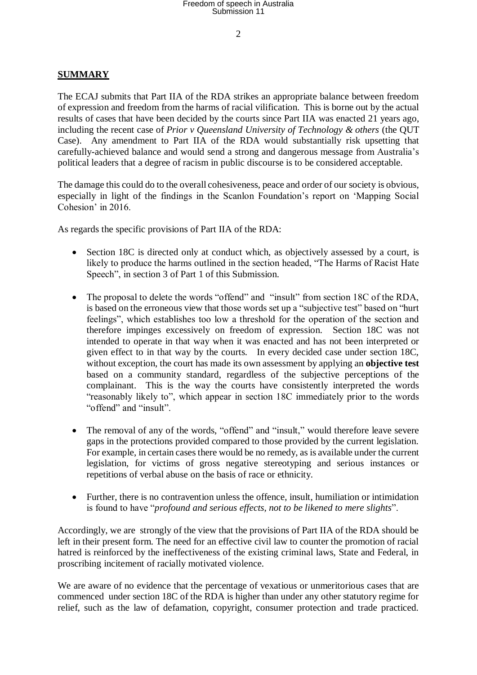$\mathcal{L}$ 

#### **SUMMARY**

The ECAJ submits that Part IIA of the RDA strikes an appropriate balance between freedom of expression and freedom from the harms of racial vilification. This is borne out by the actual results of cases that have been decided by the courts since Part IIA was enacted 21 years ago, including the recent case of *Prior v Queensland University of Technology & others* (the QUT Case). Any amendment to Part IIA of the RDA would substantially risk upsetting that carefully-achieved balance and would send a strong and dangerous message from Australia's political leaders that a degree of racism in public discourse is to be considered acceptable.

The damage this could do to the overall cohesiveness, peace and order of our society is obvious, especially in light of the findings in the Scanlon Foundation's report on 'Mapping Social Cohesion' in 2016.

As regards the specific provisions of Part IIA of the RDA:

- Section 18C is directed only at conduct which, as objectively assessed by a court, is likely to produce the harms outlined in the section headed, "The Harms of Racist Hate Speech", in section 3 of Part 1 of this Submission.
- The proposal to delete the words "offend" and "insult" from section 18C of the RDA, is based on the erroneous view that those words set up a "subjective test" based on "hurt feelings", which establishes too low a threshold for the operation of the section and therefore impinges excessively on freedom of expression. Section 18C was not intended to operate in that way when it was enacted and has not been interpreted or given effect to in that way by the courts. In every decided case under section 18C, without exception, the court has made its own assessment by applying an **objective test** based on a community standard, regardless of the subjective perceptions of the complainant. This is the way the courts have consistently interpreted the words "reasonably likely to", which appear in section 18C immediately prior to the words "offend" and "insult".
- The removal of any of the words, "offend" and "insult," would therefore leave severe gaps in the protections provided compared to those provided by the current legislation. For example, in certain cases there would be no remedy, as is available under the current legislation, for victims of gross negative stereotyping and serious instances or repetitions of verbal abuse on the basis of race or ethnicity.
- Further, there is no contravention unless the offence, insult, humiliation or intimidation is found to have "*profound and serious effects, not to be likened to mere slights*".

Accordingly, we are strongly of the view that the provisions of Part IIA of the RDA should be left in their present form. The need for an effective civil law to counter the promotion of racial hatred is reinforced by the ineffectiveness of the existing criminal laws, State and Federal, in proscribing incitement of racially motivated violence.

We are aware of no evidence that the percentage of vexatious or unmeritorious cases that are commenced under section 18C of the RDA is higher than under any other statutory regime for relief, such as the law of defamation, copyright, consumer protection and trade practiced.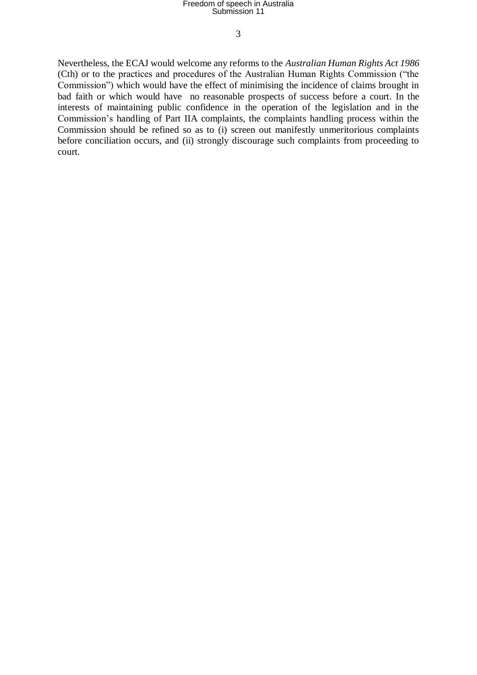3

Nevertheless, the ECAJ would welcome any reforms to the *Australian Human Rights Act 1986*  (Cth) or to the practices and procedures of the Australian Human Rights Commission ("the Commission") which would have the effect of minimising the incidence of claims brought in bad faith or which would have no reasonable prospects of success before a court. In the interests of maintaining public confidence in the operation of the legislation and in the Commission's handling of Part IIA complaints, the complaints handling process within the Commission should be refined so as to (i) screen out manifestly unmeritorious complaints before conciliation occurs, and (ii) strongly discourage such complaints from proceeding to court.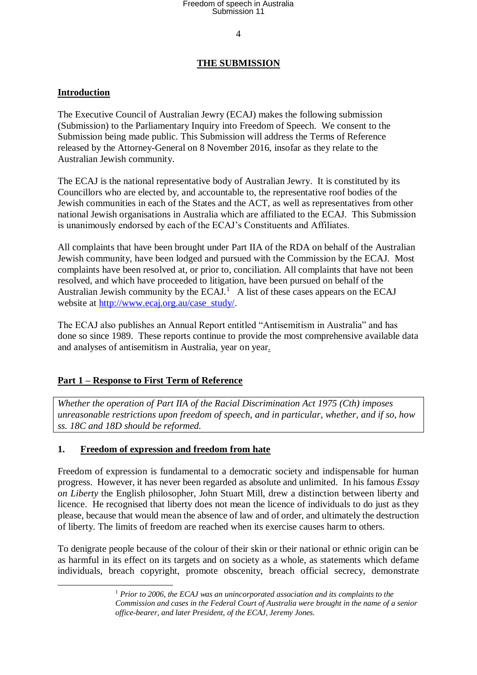4

### **THE SUBMISSION**

### **Introduction**

1

The Executive Council of Australian Jewry (ECAJ) makes the following submission (Submission) to the Parliamentary Inquiry into Freedom of Speech. We consent to the Submission being made public. This Submission will address the Terms of Reference released by the Attorney-General on 8 November 2016, insofar as they relate to the Australian Jewish community.

The ECAJ is the national representative body of Australian Jewry. It is constituted by its Councillors who are elected by, and accountable to, the representative roof bodies of the Jewish communities in each of the States and the ACT, as well as representatives from other national Jewish organisations in Australia which are affiliated to the ECAJ. This Submission is unanimously endorsed by each of the ECAJ's Constituents and Affiliates.

All complaints that have been brought under Part IIA of the RDA on behalf of the Australian Jewish community, have been lodged and pursued with the Commission by the ECAJ. Most complaints have been resolved at, or prior to, conciliation. All complaints that have not been resolved, and which have proceeded to litigation, have been pursued on behalf of the Australian Jewish community by the  $ECAI$ .<sup>1</sup> A list of these cases appears on the  $ECAI$ [website](http://www.ecaj.org.au/) at [http://www.ecaj.org.au/case\\_study/.](http://www.ecaj.org.au/case_study/)

The ECAJ also publishes an Annual Report entitled "Antisemitism in Australia" and has done so since 1989. These reports continue to provide the most comprehensive available data and analyses of antisemitism in Australia, year on year.

#### **Part 1 – Response to First Term of Reference**

*Whether the operation of Part IIA of the Racial Discrimination Act 1975 (Cth) imposes unreasonable restrictions upon freedom of speech, and in particular, whether, and if so, how ss. 18C and 18D should be reformed.* 

#### **1. Freedom of expression and freedom from hate**

Freedom of expression is fundamental to a democratic society and indispensable for human progress. However, it has never been regarded as absolute and unlimited. In his famous *Essay on Liberty* the English philosopher, John Stuart Mill, drew a distinction between liberty and licence. He recognised that liberty does not mean the licence of individuals to do just as they please, because that would mean the absence of law and of order, and ultimately the destruction of liberty. The limits of freedom are reached when its exercise causes harm to others.

To denigrate people because of the colour of their skin or their national or ethnic origin can be as harmful in its effect on its targets and on society as a whole, as statements which defame individuals, breach copyright, promote obscenity, breach official secrecy, demonstrate

<sup>1</sup> *Prior to 2006, the ECAJ was an unincorporated association and its complaints to the Commission and cases in the Federal Court of Australia were brought in the name of a senior office-bearer, and later President, of the ECAJ, Jeremy Jones.*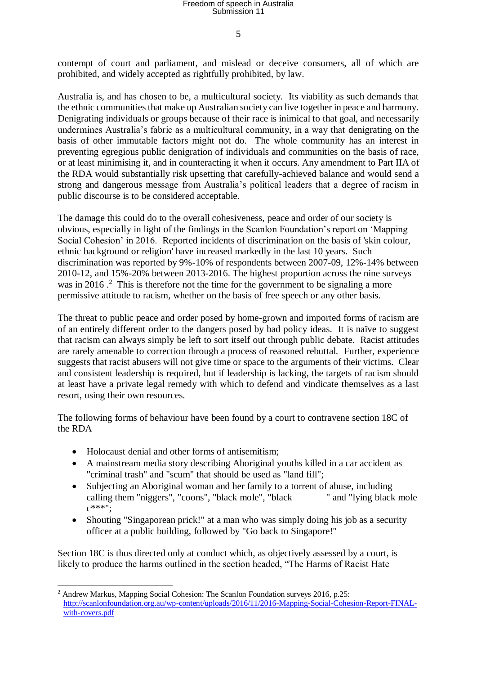5

contempt of court and parliament, and mislead or deceive consumers, all of which are prohibited, and widely accepted as rightfully prohibited, by law.

Australia is, and has chosen to be, a multicultural society. Its viability as such demands that the ethnic communities that make up Australian society can live together in peace and harmony. Denigrating individuals or groups because of their race is inimical to that goal, and necessarily undermines Australia's fabric as a multicultural community, in a way that denigrating on the basis of other immutable factors might not do. The whole community has an interest in preventing egregious public denigration of individuals and communities on the basis of race, or at least minimising it, and in counteracting it when it occurs. Any amendment to Part IIA of the RDA would substantially risk upsetting that carefully-achieved balance and would send a strong and dangerous message from Australia's political leaders that a degree of racism in public discourse is to be considered acceptable.

The damage this could do to the overall cohesiveness, peace and order of our society is obvious, especially in light of the findings in the Scanlon Foundation's report on 'Mapping Social Cohesion' in 2016. Reported incidents of discrimination on the basis of 'skin colour, ethnic background or religion' have increased markedly in the last 10 years. Such discrimination was reported by 9%-10% of respondents between 2007-09, 12%-14% between 2010-12, and 15%-20% between 2013-2016. The highest proportion across the nine surveys was in 2016.<sup>2</sup> This is therefore not the time for the government to be signaling a more permissive attitude to racism, whether on the basis of free speech or any other basis.

The threat to public peace and order posed by home-grown and imported forms of racism are of an entirely different order to the dangers posed by bad policy ideas. It is naïve to suggest that racism can always simply be left to sort itself out through public debate. Racist attitudes are rarely amenable to correction through a process of reasoned rebuttal. Further, experience suggests that racist abusers will not give time or space to the arguments of their victims. Clear and consistent leadership is required, but if leadership is lacking, the targets of racism should at least have a private legal remedy with which to defend and vindicate themselves as a last resort, using their own resources.

The following forms of behaviour have been found by a court to contravene section 18C of the RDA

• Holocaust denial and other forms of antisemitism;

1

- A mainstream media story describing Aboriginal youths killed in a car accident as "criminal trash" and "scum" that should be used as "land fill";
- Subjecting an Aboriginal woman and her family to a torrent of abuse, including calling them "niggers", "coons", "black mole", "black " and "lying black mole  $c***$ ";
- Shouting "Singaporean prick!" at a man who was simply doing his job as a security officer at a public building, followed by "Go back to Singapore!"

Section 18C is thus directed only at conduct which, as objectively assessed by a court, is likely to produce the harms outlined in the section headed, "The Harms of Racist Hate

<sup>&</sup>lt;sup>2</sup> Andrew Markus, Mapping Social Cohesion: The Scanlon Foundation surveys 2016, p.25: [http://scanlonfoundation.org.au/wp-content/uploads/2016/11/2016-Mapping-Social-Cohesion-Report-FINAL](http://scanlonfoundation.org.au/wp-content/uploads/2016/11/2016-Mapping-Social-Cohesion-Report-FINAL-with-covers.pdf)[with-covers.pdf](http://scanlonfoundation.org.au/wp-content/uploads/2016/11/2016-Mapping-Social-Cohesion-Report-FINAL-with-covers.pdf)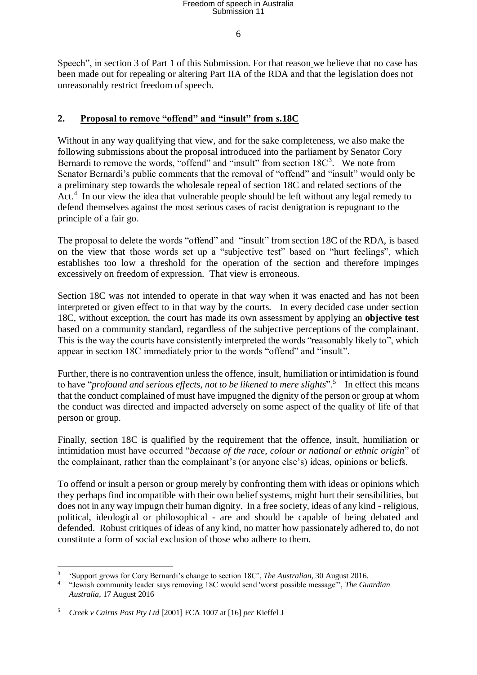6

Speech", in section 3 of Part 1 of this Submission. For that reason we believe that no case has been made out for repealing or altering Part IIA of the RDA and that the legislation does not unreasonably restrict freedom of speech.

### **2. Proposal to remove "offend" and "insult" from s.18C**

Without in any way qualifying that view, and for the sake completeness, we also make the following submissions about the proposal introduced into the parliament by Senator Cory Bernardi to remove the words, "offend" and "insult" from section  $18C<sup>3</sup>$ . We note from Senator Bernardi's public comments that the removal of "offend" and "insult" would only be a preliminary step towards the wholesale repeal of section 18C and related sections of the Act.<sup>4</sup> In our view the idea that vulnerable people should be left without any legal remedy to defend themselves against the most serious cases of racist denigration is repugnant to the principle of a fair go.

The proposal to delete the words "offend" and "insult" from section 18C of the RDA, is based on the view that those words set up a "subjective test" based on "hurt feelings", which establishes too low a threshold for the operation of the section and therefore impinges excessively on freedom of expression. That view is erroneous.

Section 18C was not intended to operate in that way when it was enacted and has not been interpreted or given effect to in that way by the courts. In every decided case under section 18C, without exception, the court has made its own assessment by applying an **objective test** based on a community standard, regardless of the subjective perceptions of the complainant. This is the way the courts have consistently interpreted the words "reasonably likely to", which appear in section 18C immediately prior to the words "offend" and "insult".

Further, there is no contravention unless the offence, insult, humiliation or intimidation is found to have "*profound and serious effects, not to be likened to mere slights*".<sup>5</sup> In effect this means that the conduct complained of must have impugned the dignity of the person or group at whom the conduct was directed and impacted adversely on some aspect of the quality of life of that person or group.

Finally, section 18C is qualified by the requirement that the offence, insult, humiliation or intimidation must have occurred "*because of the race, colour or national or ethnic origin*" of the complainant, rather than the complainant's (or anyone else's) ideas, opinions or beliefs.

To offend or insult a person or group merely by confronting them with ideas or opinions which they perhaps find incompatible with their own belief systems, might hurt their sensibilities, but does not in any way impugn their human dignity. In a free society, ideas of any kind - religious, political, ideological or philosophical - are and should be capable of being debated and defended. Robust critiques of ideas of any kind, no matter how passionately adhered to, do not constitute a form of social exclusion of those who adhere to them.

<sup>&</sup>lt;u>.</u> 3 'Support grows for Cory Bernardi's change to section 18C', *The Australian*, 30 August 2016.

<sup>4</sup> "Jewish community leader says removing 18C would send 'worst possible message'", *The Guardian Australia*, 17 August 2016

<sup>5</sup> *Creek v Cairns Post Pty Ltd* [2001] FCA 1007 at [16] *per* Kieffel J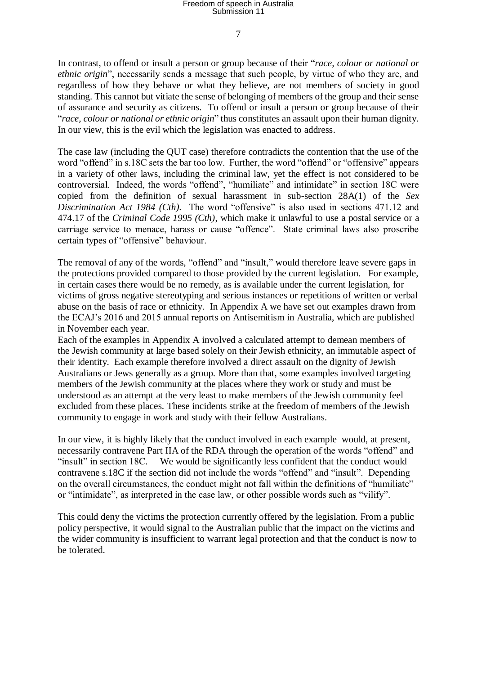7

In contrast, to offend or insult a person or group because of their "*race, colour or national or ethnic origin*", necessarily sends a message that such people, by virtue of who they are, and regardless of how they behave or what they believe, are not members of society in good standing. This cannot but vitiate the sense of belonging of members of the group and their sense of assurance and security as citizens. To offend or insult a person or group because of their "*race, colour or national or ethnic origin*" thus constitutes an assault upon their human dignity. In our view, this is the evil which the legislation was enacted to address.

The case law (including the QUT case) therefore contradicts the contention that the use of the word "offend" in s.18C sets the bar too low. Further, the word "offend" or "offensive" appears in a variety of other laws, including the criminal law, yet the effect is not considered to be controversial. Indeed, the words "offend", "humiliate" and intimidate" in section 18C were copied from the definition of sexual harassment in sub-section 28A(1) of the *Sex Discrimination Act 1984 (Cth).* The word "offensive" is also used in sections 471.12 and 474.17 of the *Criminal Code 1995 (Cth)*, which make it unlawful to use a postal service or a carriage service to menace, harass or cause "offence". State criminal laws also proscribe certain types of "offensive" behaviour.

The removal of any of the words, "offend" and "insult," would therefore leave severe gaps in the protections provided compared to those provided by the current legislation. For example, in certain cases there would be no remedy, as is available under the current legislation, for victims of gross negative stereotyping and serious instances or repetitions of written or verbal abuse on the basis of race or ethnicity. In Appendix A we have set out examples drawn from the ECAJ's 2016 and 2015 annual reports on Antisemitism in Australia, which are published in November each year.

Each of the examples in Appendix A involved a calculated attempt to demean members of the Jewish community at large based solely on their Jewish ethnicity, an immutable aspect of their identity. Each example therefore involved a direct assault on the dignity of Jewish Australians or Jews generally as a group. More than that, some examples involved targeting members of the Jewish community at the places where they work or study and must be understood as an attempt at the very least to make members of the Jewish community feel excluded from these places. These incidents strike at the freedom of members of the Jewish community to engage in work and study with their fellow Australians.

In our view, it is highly likely that the conduct involved in each example would, at present, necessarily contravene Part IIA of the RDA through the operation of the words "offend" and "insult" in section 18C. We would be significantly less confident that the conduct would contravene s.18C if the section did not include the words "offend" and "insult". Depending on the overall circumstances, the conduct might not fall within the definitions of "humiliate" or "intimidate", as interpreted in the case law, or other possible words such as "vilify".

This could deny the victims the protection currently offered by the legislation. From a public policy perspective, it would signal to the Australian public that the impact on the victims and the wider community is insufficient to warrant legal protection and that the conduct is now to be tolerated.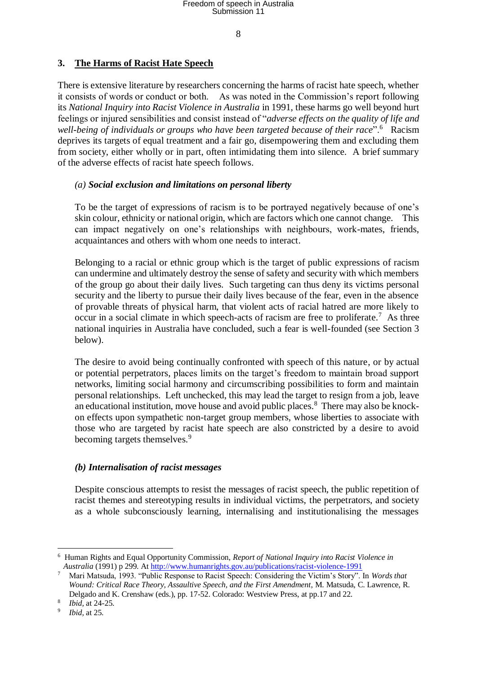8

#### **3. The Harms of Racist Hate Speech**

There is extensive literature by researchers concerning the harms of racist hate speech, whether it consists of words or conduct or both. As was noted in the Commission's report following its *National Inquiry into Racist Violence in Australia* in 1991, these harms go well beyond hurt feelings or injured sensibilities and consist instead of "*adverse effects on the quality of life and*  well-being of individuals or groups who have been targeted because of their race".<sup>6</sup> Racism deprives its targets of equal treatment and a fair go, disempowering them and excluding them from society, either wholly or in part, often intimidating them into silence. A brief summary of the adverse effects of racist hate speech follows.

#### *(a) Social exclusion and limitations on personal liberty*

To be the target of expressions of racism is to be portrayed negatively because of one's skin colour, ethnicity or national origin, which are factors which one cannot change. This can impact negatively on one's relationships with neighbours, work-mates, friends, acquaintances and others with whom one needs to interact.

Belonging to a racial or ethnic group which is the target of public expressions of racism can undermine and ultimately destroy the sense of safety and security with which members of the group go about their daily lives. Such targeting can thus deny its victims personal security and the liberty to pursue their daily lives because of the fear, even in the absence of provable threats of physical harm, that violent acts of racial hatred are more likely to occur in a social climate in which speech-acts of racism are free to proliferate.<sup>7</sup> As three national inquiries in Australia have concluded, such a fear is well-founded (see Section 3 below).

The desire to avoid being continually confronted with speech of this nature, or by actual or potential perpetrators, places limits on the target's freedom to maintain broad support networks, limiting social harmony and circumscribing possibilities to form and maintain personal relationships. Left unchecked, this may lead the target to resign from a job, leave an educational institution, move house and avoid public places.<sup>8</sup> There may also be knockon effects upon sympathetic non-target group members, whose liberties to associate with those who are targeted by racist hate speech are also constricted by a desire to avoid becoming targets themselves.<sup>9</sup>

#### *(b) Internalisation of racist messages*

Despite conscious attempts to resist the messages of racist speech, the public repetition of racist themes and stereotyping results in individual victims, the perpetrators, and society as a whole subconsciously learning, internalising and institutionalising the messages

1

<sup>6</sup> Human Rights and Equal Opportunity Commission, *Report of National Inquiry into Racist Violence in Australia* (1991) p 299. At<http://www.humanrights.gov.au/publications/racist-violence-1991><br>
<sup>7</sup> Meri Metavda, 1992. <sup>4</sup> Meri Metavda, 1992.

<sup>7</sup> Mari Matsuda, 1993. "Public Response to Racist Speech: Considering the Victim's Story". In *Words that Wound: Critical Race Theory, Assaultive Speech, and the First Amendment*, M. Matsuda, C. Lawrence, R. Delgado and K. Crenshaw (eds.), pp. 17-52. Colorado: Westview Press, at pp.17 and 22.

<sup>8</sup> *Ibid,* at 24-25.

<sup>9</sup> *Ibid,* at 25.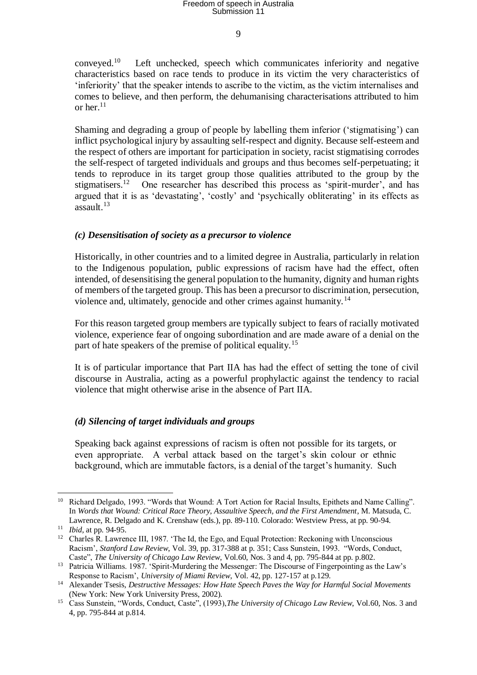$\overline{Q}$ 

conveyed.<sup>10</sup> Left unchecked, speech which communicates inferiority and negative characteristics based on race tends to produce in its victim the very characteristics of 'inferiority' that the speaker intends to ascribe to the victim, as the victim internalises and comes to believe, and then perform, the dehumanising characterisations attributed to him or her. $^{11}$ 

Shaming and degrading a group of people by labelling them inferior ('stigmatising') can inflict psychological injury by assaulting self-respect and dignity. Because self-esteem and the respect of others are important for participation in society, racist stigmatising corrodes the self-respect of targeted individuals and groups and thus becomes self-perpetuating; it tends to reproduce in its target group those qualities attributed to the group by the stigmatisers.<sup>12</sup> One researcher has described this process as 'spirit-murder', and has argued that it is as 'devastating', 'costly' and 'psychically obliterating' in its effects as assault.<sup>13</sup>

#### *(c) Desensitisation of society as a precursor to violence*

Historically, in other countries and to a limited degree in Australia, particularly in relation to the Indigenous population, public expressions of racism have had the effect, often intended, of desensitising the general population to the humanity, dignity and human rights of members of the targeted group. This has been a precursor to discrimination, persecution, violence and, ultimately, genocide and other crimes against humanity.<sup>14</sup>

For this reason targeted group members are typically subject to fears of racially motivated violence, experience fear of ongoing subordination and are made aware of a denial on the part of hate speakers of the premise of political equality.<sup>15</sup>

It is of particular importance that Part IIA has had the effect of setting the tone of civil discourse in Australia, acting as a powerful prophylactic against the tendency to racial violence that might otherwise arise in the absence of Part IIA.

#### *(d) Silencing of target individuals and groups*

Speaking back against expressions of racism is often not possible for its targets, or even appropriate. A verbal attack based on the target's skin colour or ethnic background, which are immutable factors, is a denial of the target's humanity. Such

<sup>&</sup>lt;u>.</u> <sup>10</sup> Richard Delgado, 1993. "Words that Wound: A Tort Action for Racial Insults, Epithets and Name Calling". In *Words that Wound: Critical Race Theory, Assaultive Speech, and the First Amendment*, M. Matsuda, C. Lawrence, R. Delgado and K. Crenshaw (eds.), pp. 89-110. Colorado: Westview Press, at pp. 90-94.

<sup>11</sup> *Ibid*, at pp. 94-95.

<sup>&</sup>lt;sup>12</sup> Charles R. Lawrence III, 1987. 'The Id, the Ego, and Equal Protection: Reckoning with Unconscious Racism', *Stanford Law Review*, Vol. 39, pp. 317-388 at p. 351; Cass Sunstein, 1993. "Words, Conduct, Caste", *The University of Chicago Law Review*, Vol.60, Nos. 3 and 4, pp. 795-844 at pp. p.802.

<sup>&</sup>lt;sup>13</sup> Patricia Williams. 1987. 'Spirit-Murdering the Messenger: The Discourse of Fingerpointing as the Law's Response to Racism', *University of Miami Review*, Vol. 42, pp. 127-157 at p.129.

<sup>14</sup> Alexander Tsesis, *Destructive Messages: How Hate Speech Paves the Way for Harmful Social Movements*  (New York: New York University Press, 2002).

<sup>15</sup> Cass Sunstein, "Words, Conduct, Caste", (1993),*The University of Chicago Law Review*, Vol.60, Nos. 3 and 4, pp. 795-844 at p.814.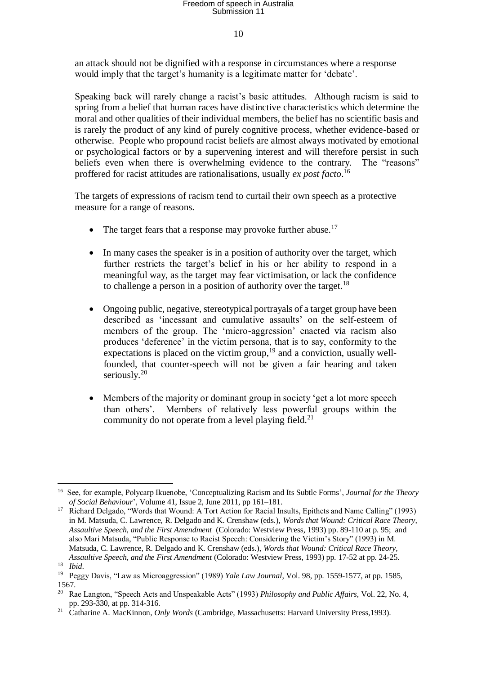#### 10

an attack should not be dignified with a response in circumstances where a response would imply that the target's humanity is a legitimate matter for 'debate'.

Speaking back will rarely change a racist's basic attitudes. Although racism is said to spring from a belief that human races have distinctive characteristics which determine the moral and other qualities of their individual members, the belief has no scientific basis and is rarely the product of any kind of purely cognitive process, whether evidence-based or otherwise. People who propound racist beliefs are almost always motivated by emotional or psychological factors or by a supervening interest and will therefore persist in such beliefs even when there is overwhelming evidence to the contrary. The "reasons" proffered for racist attitudes are rationalisations, usually *ex post facto*. 16

The targets of expressions of racism tend to curtail their own speech as a protective measure for a range of reasons.

- The target fears that a response may provoke further abuse.<sup>17</sup>
- In many cases the speaker is in a position of authority over the target, which further restricts the target's belief in his or her ability to respond in a meaningful way, as the target may fear victimisation, or lack the confidence to challenge a person in a position of authority over the target.<sup>18</sup>
- Ongoing public, negative, stereotypical portrayals of a target group have been described as 'incessant and cumulative assaults' on the self-esteem of members of the group. The 'micro-aggression' enacted via racism also produces 'deference' in the victim persona, that is to say, conformity to the expectations is placed on the victim group,  $19$  and a conviction, usually wellfounded, that counter-speech will not be given a fair hearing and taken seriously.<sup>20</sup>
- Members of the majority or dominant group in society 'get a lot more speech than others'. Members of relatively less powerful groups within the community do not operate from a level playing field.<sup>21</sup>

<sup>&</sup>lt;u>.</u> <sup>16</sup> See, for example, Polycarp Ikuenobe, 'Conceptualizing Racism and Its Subtle Forms', *Journal for the Theory of Social Behaviour*', Volume 41, Issue 2, June 2011, pp 161–181.

<sup>&</sup>lt;sup>17</sup> Richard Delgado, "Words that Wound: A Tort Action for Racial Insults, Epithets and Name Calling" (1993) in M. Matsuda, C. Lawrence, R. Delgado and K. Crenshaw (eds.), *Words that Wound: Critical Race Theory, Assaultive Speech, and the First Amendment* (Colorado: Westview Press, 1993) pp. 89-110 at p. 95; and also Mari Matsuda, "Public Response to Racist Speech: Considering the Victim's Story" (1993) in M. Matsuda, C. Lawrence, R. Delgado and K. Crenshaw (eds.), *Words that Wound: Critical Race Theory, Assaultive Speech, and the First Amendment* (Colorado: Westview Press, 1993) pp. 17-52 at pp. 24-25. <sup>18</sup> *Ibid*.

<sup>19</sup> Peggy Davis, "Law as Microaggression" (1989) *Yale Law Journal*, Vol. 98, pp. 1559-1577, at pp. 1585, 1567.

<sup>20</sup> Rae Langton, "Speech Acts and Unspeakable Acts" (1993) *Philosophy and Public Affairs*, Vol. 22, No. 4, pp. 293-330, at pp. 314-316.

<sup>21</sup> Catharine A. MacKinnon, *Only Words* (Cambridge, Massachusetts: Harvard University Press,1993).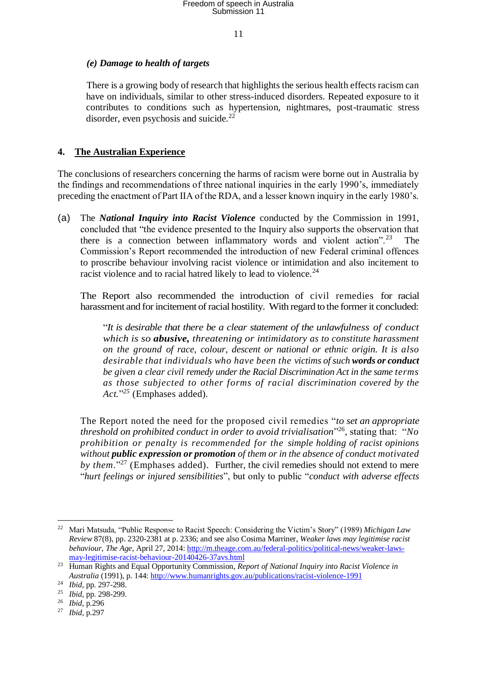11

#### *(e) Damage to health of targets*

There is a growing body of research that highlights the serious health effects racism can have on individuals, similar to other stress-induced disorders. Repeated exposure to it contributes to conditions such as hypertension, nightmares, post-traumatic stress disorder, even psychosis and suicide. $^{22}$ 

#### **4. The Australian Experience**

The conclusions of researchers concerning the harms of racism were borne out in Australia by the findings and recommendations of three national inquiries in the early 1990's, immediately preceding the enactment of Part IIA of the RDA, and a lesser known inquiry in the early 1980's.

(a) The *National Inquiry into Racist Violence* conducted by the Commission in 1991, concluded that "the evidence presented to the Inquiry also supports the observation that there is a connection between inflammatory words and violent action".<sup>23</sup> The Commission's Report recommended the introduction of new Federal criminal offences to proscribe behaviour involving racist violence or intimidation and also incitement to racist violence and to racial hatred likely to lead to violence.<sup>24</sup>

The Report also recommended the introduction of civil remedies for racial harassment and for incitement of racial hostility. With regard to the former it concluded:

"*It is desirable that there be a clear statement of the unlawfulness of conduct which is so abusive, threatening or intimidatory as to constitute harassment on the ground of race, colour, descent or national or ethnic origin. It is also desirable that individuals who have been the victims of such words or conduct be given a clear civil remedy under the Racial Discrimination Act in the same terms as those subjected to other forms of racial discrimination covered by the Act.*" *<sup>25</sup>* (Emphases added).

The Report noted the need for the proposed civil remedies "*to set an appropriate threshold on prohibited conduct in order to avoid trivialisation*" <sup>26</sup>, stating that: "*No prohibition or penalty is recommended for the simple holding of racist opinions without public expression or promotion of them or in the absence of conduct motivated by them*."<sup>27</sup> (Emphases added). Further, the civil remedies should not extend to mere "*hurt feelings or injured sensibilities*", but only to public "*conduct with adverse effects* 

1

<sup>22</sup> Mari Matsuda, "Public Response to Racist Speech: Considering the Victim's Story" (1989) *Michigan Law Review* 87(8), pp. 2320-2381 at p. 2336; and see also Cosima Marriner, *Weaker laws may legitimise racist behaviour*, *The Age*, April 27, 2014: [http://m.theage.com.au/federal-politics/political-news/weaker-laws](http://m.theage.com.au/federal-politics/political-news/weaker-laws-may-legitimise-racist-behaviour-20140426-37avs.html)[may-legitimise-racist-behaviour-20140426-37avs.html](http://m.theage.com.au/federal-politics/political-news/weaker-laws-may-legitimise-racist-behaviour-20140426-37avs.html)

<sup>&</sup>lt;sup>23</sup> Human Rights and Equal Opportunity Commission, *Report of National Inquiry into Racist Violence in Australia* (1991), p. 144:<http://www.humanrights.gov.au/publications/racist-violence-1991>

<sup>24</sup> *Ibid*, pp. 297-298.

<sup>25</sup> *Ibid*, pp. 298-299.

<sup>26</sup> *Ibid*, p.296

<sup>27</sup> *Ibid*, p.297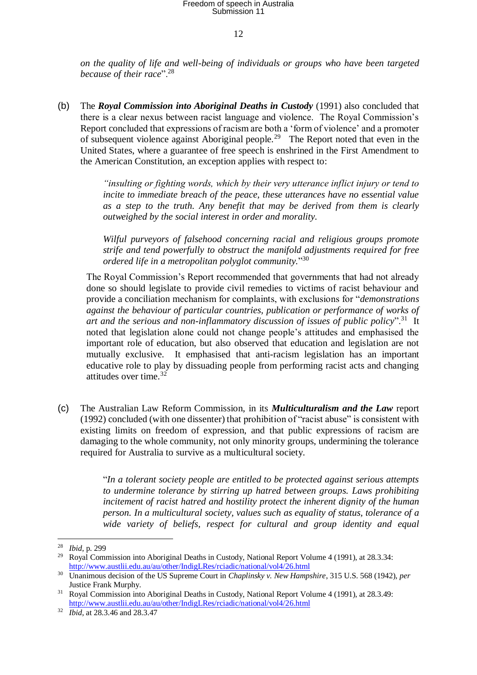12

*on the quality of life and well-being of individuals or groups who have been targeted because of their race*".<sup>28</sup>

(b) The *Royal Commission into Aboriginal Deaths in Custody* (1991) also concluded that there is a clear nexus between racist language and violence. The Royal Commission's Report concluded that expressions of racism are both a 'form of violence' and a promoter of subsequent violence against Aboriginal people.<sup>29</sup> The Report noted that even in the United States, where a guarantee of free speech is enshrined in the First Amendment to the American Constitution, an exception applies with respect to:

> *"insulting or fighting words, which by their very utterance inflict injury or tend to incite to immediate breach of the peace, these utterances have no essential value as a step to the truth. Any benefit that may be derived from them is clearly outweighed by the social interest in order and morality.*

> *Wilful purveyors of falsehood concerning racial and religious groups promote strife and tend powerfully to obstruct the manifold adjustments required for free ordered life in a metropolitan polyglot community.*" 30

The Royal Commission's Report recommended that governments that had not already done so should legislate to provide civil remedies to victims of racist behaviour and provide a conciliation mechanism for complaints, with exclusions for "*demonstrations against the behaviour of particular countries, publication or performance of works of* art and the serious and non-inflammatory discussion of issues of public policy".<sup>31</sup> It noted that legislation alone could not change people's attitudes and emphasised the important role of education, but also observed that education and legislation are not mutually exclusive. It emphasised that anti-racism legislation has an important educative role to play by dissuading people from performing racist acts and changing attitudes over time.<sup>32</sup>

(c) The Australian Law Reform Commission, in its *Multiculturalism and the Law* report (1992) concluded (with one dissenter) that prohibition of "racist abuse" is consistent with existing limits on freedom of expression, and that public expressions of racism are damaging to the whole community, not only minority groups, undermining the tolerance required for Australia to survive as a multicultural society.

> "*In a tolerant society people are entitled to be protected against serious attempts to undermine tolerance by stirring up hatred between groups. Laws prohibiting incitement of racist hatred and hostility protect the inherent dignity of the human person. In a multicultural society, values such as equality of status, tolerance of a wide variety of beliefs, respect for cultural and group identity and equal*

<sup>28</sup> *Ibid*, p. 299

<sup>&</sup>lt;sup>29</sup> Royal Commission into Aboriginal Deaths in Custody, National Report Volume 4 (1991), at 28.3.34: <http://www.austlii.edu.au/au/other/IndigLRes/rciadic/national/vol4/26.html>

<sup>30</sup> Unanimous decision of the US Supreme Court in *Chaplinsky v. New Hampshire*, 315 U.S. 568 (1942), *per* Justice Frank Murphy.

<sup>&</sup>lt;sup>31</sup> Royal Commission into Aboriginal Deaths in Custody, National Report Volume 4 (1991), at 28.3.49: <http://www.austlii.edu.au/au/other/IndigLRes/rciadic/national/vol4/26.html>

<sup>32</sup> *Ibid*, at 28.3.46 and 28.3.47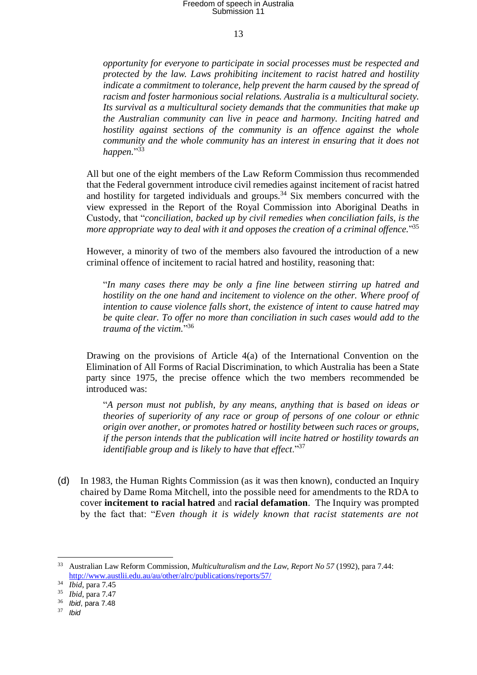13

*opportunity for everyone to participate in social processes must be respected and protected by the law. Laws prohibiting incitement to racist hatred and hostility indicate a commitment to tolerance, help prevent the harm caused by the spread of racism and foster harmonious social relations. Australia is a multicultural society. Its survival as a multicultural society demands that the communities that make up the Australian community can live in peace and harmony. Inciting hatred and hostility against sections of the community is an offence against the whole community and the whole community has an interest in ensuring that it does not happen.*" 33

All but one of the eight members of the Law Reform Commission thus recommended that the Federal government introduce civil remedies against incitement of racist hatred and hostility for targeted individuals and groups.<sup>34</sup> Six members concurred with the view expressed in the Report of the Royal Commission into Aboriginal Deaths in Custody, that "*conciliation, backed up by civil remedies when conciliation fails, is the more appropriate way to deal with it and opposes the creation of a criminal offence.*" 35

However, a minority of two of the members also favoured the introduction of a new criminal offence of incitement to racial hatred and hostility, reasoning that:

"*In many cases there may be only a fine line between stirring up hatred and hostility on the one hand and incitement to violence on the other. Where proof of intention to cause violence falls short, the existence of intent to cause hatred may be quite clear. To offer no more than conciliation in such cases would add to the trauma of the victim.*" 36

Drawing on the provisions of Article  $4(a)$  of the International Convention on the Elimination of All Forms of Racial Discrimination, to which Australia has been a State party since 1975, the precise offence which the two members recommended be introduced was:

"*A person must not publish, by any means, anything that is based on ideas or theories of superiority of any race or group of persons of one colour or ethnic origin over another, or promotes hatred or hostility between such races or groups, if the person intends that the publication will incite hatred or hostility towards an identifiable group and is likely to have that effect*."<sup>37</sup>

(d) In 1983, the Human Rights Commission (as it was then known), conducted an Inquiry chaired by Dame Roma Mitchell, into the possible need for amendments to the RDA to cover **incitement to racial hatred** and **racial defamation**. The Inquiry was prompted by the fact that: "*Even though it is widely known that racist statements are not* 

1

<sup>33</sup> Australian Law Reform Commission, *Multiculturalism and the Law, Report No 57* (1992), para 7.44: <http://www.austlii.edu.au/au/other/alrc/publications/reports/57/>

<sup>34</sup> *Ibid*, para 7.45

<sup>35</sup> *Ibid*, para 7.47

<sup>36</sup> *Ibid*, para 7.48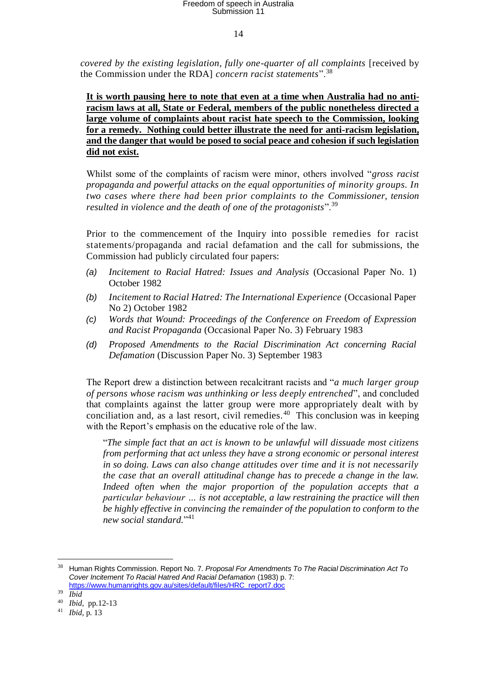14

*covered by the existing legislation, fully one-quarter of all complaints* [received by the Commission under the RDA] *concern racist statements*".<sup>38</sup>

**It is worth pausing here to note that even at a time when Australia had no antiracism laws at all, State or Federal, members of the public nonetheless directed a large volume of complaints about racist hate speech to the Commission, looking for a remedy. Nothing could better illustrate the need for anti-racism legislation, and the danger that would be posed to social peace and cohesion if such legislation did not exist.**

Whilst some of the complaints of racism were minor, others involved "*gross racist propaganda and powerful attacks on the equal opportunities of minority groups. In two cases where there had been prior complaints to the Commissioner, tension resulted in violence and the death of one of the protagonists*".<sup>39</sup>

Prior to the commencement of the Inquiry into possible remedies for racist statements/propaganda and racial defamation and the call for submissions, the Commission had publicly circulated four papers:

- *(a) Incitement to Racial Hatred: Issues and Analysis* (Occasional Paper No. 1) October 1982
- *(b) Incitement to Racial Hatred: The International Experience* (Occasional Paper No 2) October 1982
- *(c) Words that Wound: Proceedings of the Conference on Freedom of Expression and Racist Propaganda* (Occasional Paper No. 3) February 1983
- *(d) Proposed Amendments to the Racial Discrimination Act concerning Racial Defamation* (Discussion Paper No. 3) September 1983

The Report drew a distinction between recalcitrant racists and "*a much larger group of persons whose racism was unthinking or less deeply entrenched*", and concluded that complaints against the latter group were more appropriately dealt with by conciliation and, as a last resort, civil remedies.<sup>40</sup> This conclusion was in keeping with the Report's emphasis on the educative role of the law.

"*The simple fact that an act is known to be unlawful will dissuade most citizens from performing that act unless they have a strong economic or personal interest in so doing. Laws can also change attitudes over time and it is not necessarily the case that an overall attitudinal change has to precede a change in the law. Indeed often when the major proportion of the population accepts that a particular behaviour … is not acceptable, a law restraining the practice will then be highly effective in convincing the remainder of the population to conform to the new social standard.*" 41

<sup>38</sup> Human Rights Commission. Report No. 7. *Proposal For Amendments To The Racial Discrimination Act To Cover Incitement To Racial Hatred And Racial Defamation* (1983) p. 7: [https://www.humanrights.gov.au/sites/default/files/HRC\\_report7.doc](https://www.humanrights.gov.au/sites/default/files/HRC_report7.doc)

<sup>39</sup> *Ibid*

<sup>40</sup> *Ibid*, pp.12-13

<sup>41</sup> *Ibid*, p. 13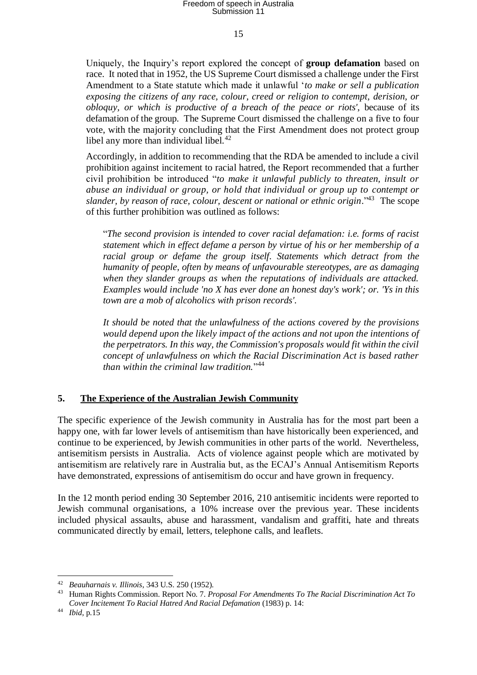15

Uniquely, the Inquiry's report explored the concept of **group defamation** based on race. It noted that in 1952, the US Supreme Court dismissed a challenge under the First Amendment to a State statute which made it unlawful '*to make or sell a publication exposing the citizens of any race, colour, creed or religion to contempt, derision, or obloquy, or which is productive of a breach of the peace or riots'*, because of its defamation of the group. The Supreme Court dismissed the challenge on a five to four vote, with the majority concluding that the First Amendment does not protect group libel any more than individual libel. $42$ 

Accordingly, in addition to recommending that the RDA be amended to include a civil prohibition against incitement to racial hatred, the Report recommended that a further civil prohibition be introduced "*to make it unlawful publicly to threaten, insult or abuse an individual or group, or hold that individual or group up to contempt or*  slander, by reason of race, colour, descent or national or ethnic origin.<sup>43</sup> The scope of this further prohibition was outlined as follows:

"*The second provision is intended to cover racial defamation: i.e. forms of racist statement which in effect defame a person by virtue of his or her membership of a*  racial group or defame the group itself. Statements which detract from the *humanity of people, often by means of unfavourable stereotypes, are as damaging when they slander groups as when the reputations of individuals are attacked. Examples would include 'no X has ever done an honest day's work'; or. 'Ys in this town are a mob of alcoholics with prison records'.*

*It should be noted that the unlawfulness of the actions covered by the provisions would depend upon the likely impact of the actions and not upon the intentions of the perpetrators. In this way, the Commission's proposals would fit within the civil concept of unlawfulness on which the Racial Discrimination Act is based rather than within the criminal law tradition.*" 44

#### **5. The Experience of the Australian Jewish Community**

The specific experience of the Jewish community in Australia has for the most part been a happy one, with far lower levels of antisemitism than have historically been experienced, and continue to be experienced, by Jewish communities in other parts of the world. Nevertheless, antisemitism persists in Australia. Acts of violence against people which are motivated by antisemitism are relatively rare in Australia but, as the ECAJ's Annual Antisemitism Reports have demonstrated, expressions of antisemitism do occur and have grown in frequency.

In the 12 month period ending 30 September 2016, 210 antisemitic incidents were reported to Jewish communal organisations, a 10% increase over the previous year. These incidents included physical assaults, abuse and harassment, vandalism and graffiti, hate and threats communicated directly by email, letters, telephone calls, and leaflets.

<sup>42</sup> *Beauharnais v. Illinois*, 343 U.S. 250 (1952).

<sup>43</sup> Human Rights Commission. Report No. 7. *Proposal For Amendments To The Racial Discrimination Act To Cover Incitement To Racial Hatred And Racial Defamation* (1983) p. 14:

<sup>44</sup> *Ibid*, p.15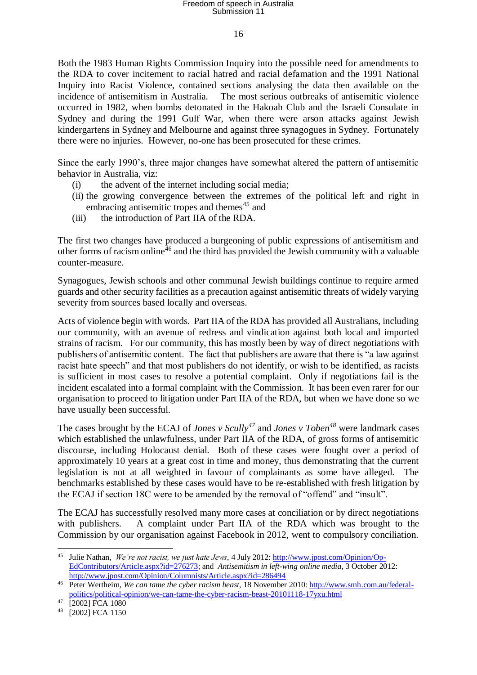#### 16

Both the 1983 Human Rights Commission Inquiry into the possible need for amendments to the RDA to cover incitement to racial hatred and racial defamation and the 1991 National Inquiry into Racist Violence, contained sections analysing the data then available on the incidence of antisemitism in Australia. The most serious outbreaks of antisemitic violence occurred in 1982, when bombs detonated in the Hakoah Club and the Israeli Consulate in Sydney and during the 1991 Gulf War, when there were arson attacks against Jewish kindergartens in Sydney and Melbourne and against three synagogues in Sydney. Fortunately there were no injuries. However, no-one has been prosecuted for these crimes.

Since the early 1990's, three major changes have somewhat altered the pattern of antisemitic behavior in Australia, viz:

- (i) the advent of the internet including social media;
- (ii) the growing convergence between the extremes of the political left and right in embracing antisemitic tropes and themes<sup>45</sup> and
- (iii) the introduction of Part IIA of the RDA.

The first two changes have produced a burgeoning of public expressions of antisemitism and other forms of racism online<sup> $46$ </sup> and the third has provided the Jewish community with a valuable counter-measure.

Synagogues, Jewish schools and other communal Jewish buildings continue to require armed guards and other security facilities as a precaution against antisemitic threats of widely varying severity from sources based locally and overseas.

Acts of violence begin with words. Part IIA of the RDA has provided all Australians, including our community, with an avenue of redress and vindication against both local and imported strains of racism. For our community, this has mostly been by way of direct negotiations with publishers of antisemitic content. The fact that publishers are aware that there is "a law against racist hate speech" and that most publishers do not identify, or wish to be identified, as racists is sufficient in most cases to resolve a potential complaint. Only if negotiations fail is the incident escalated into a formal complaint with the Commission. It has been even rarer for our organisation to proceed to litigation under Part IIA of the RDA, but when we have done so we have usually been successful.

The cases brought by the ECAJ of *Jones v Scully<sup>47</sup>* and *Jones v Toben<sup>48</sup>* were landmark cases which established the unlawfulness, under Part IIA of the RDA, of gross forms of antisemitic discourse, including Holocaust denial. Both of these cases were fought over a period of approximately 10 years at a great cost in time and money, thus demonstrating that the current legislation is not at all weighted in favour of complainants as some have alleged. The benchmarks established by these cases would have to be re-established with fresh litigation by the ECAJ if section 18C were to be amended by the removal of "offend" and "insult".

The ECAJ has successfully resolved many more cases at conciliation or by direct negotiations with publishers. A complaint under Part IIA of the RDA which was brought to the Commission by our organisation against Facebook in 2012, went to compulsory conciliation.

1

<sup>45</sup> Julie Nathan, *We're not racist, we just hate Jews*, 4 July 2012[: http://www.jpost.com/Opinion/Op-](http://www.jpost.com/Opinion/Op-EdContributors/Article.aspx?id=276273)[EdContributors/Article.aspx?id=276273;](http://www.jpost.com/Opinion/Op-EdContributors/Article.aspx?id=276273) and *Antisemitism in left-wing online media*, 3 October 2012: <http://www.jpost.com/Opinion/Columnists/Article.aspx?id=286494>

<sup>46</sup> Peter Wertheim, *We can tame the cyber racism beast*, 18 November 2010: [http://www.smh.com.au/federal](http://www.smh.com.au/federal-politics/political-opinion/we-can-tame-the-cyber-racism-beast-20101118-17yxu.html)[politics/political-opinion/we-can-tame-the-cyber-racism-beast-20101118-17yxu.html](http://www.smh.com.au/federal-politics/political-opinion/we-can-tame-the-cyber-racism-beast-20101118-17yxu.html)

<sup>47</sup> [2002] FCA 1080

<sup>48</sup> [2002] FCA 1150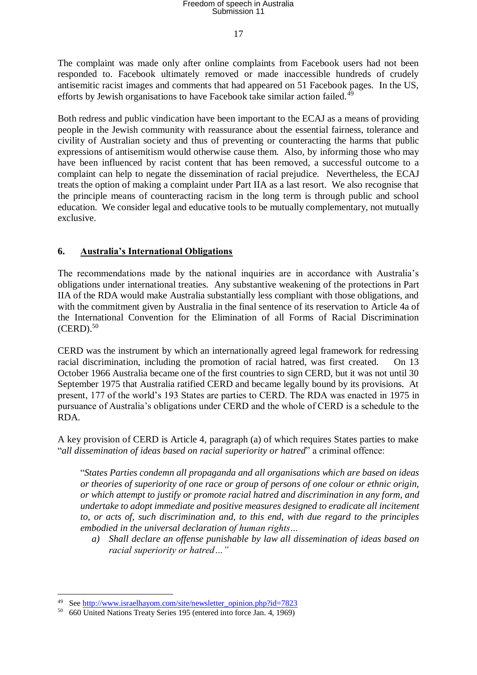17

The complaint was made only after online complaints from Facebook users had not been responded to. Facebook ultimately removed or made inaccessible hundreds of crudely antisemitic racist images and comments that had appeared on 51 Facebook pages. In the US, efforts by Jewish organisations to have Facebook take similar action failed.<sup>49</sup>

Both redress and public vindication have been important to the ECAJ as a means of providing people in the Jewish community with reassurance about the essential fairness, tolerance and civility of Australian society and thus of preventing or counteracting the harms that public expressions of antisemitism would otherwise cause them. Also, by informing those who may have been influenced by racist content that has been removed, a successful outcome to a complaint can help to negate the dissemination of racial prejudice. Nevertheless, the ECAJ treats the option of making a complaint under Part IIA as a last resort. We also recognise that the principle means of counteracting racism in the long term is through public and school education. We consider legal and educative tools to be mutually complementary, not mutually exclusive.

#### **6. Australia's International Obligations**

The recommendations made by the national inquiries are in accordance with Australia's obligations under international treaties. Any substantive weakening of the protections in Part IIA of the RDA would make Australia substantially less compliant with those obligations, and with the commitment given by Australia in the final sentence of its reservation to Article 4a of the International Convention for the Elimination of all Forms of Racial Discrimination  $(CERD).$ <sup>50</sup>

CERD was the instrument by which an internationally agreed legal framework for redressing racial discrimination, including the promotion of racial hatred, was first created. On 13 October 1966 Australia became one of the first countries to sign CERD, but it was not until 30 September 1975 that Australia ratified CERD and became legally bound by its provisions. At present, 177 of the world's 193 States are parties to CERD. The RDA was enacted in 1975 in pursuance of Australia's obligations under CERD and the whole of CERD is a schedule to the RDA.

A key provision of CERD is Article 4, paragraph (a) of which requires States parties to make "*all dissemination of ideas based on racial superiority or hatred*" a criminal offence:

"*States Parties condemn all propaganda and all organisations which are based on ideas or theories of superiority of one race or group of persons of one colour or ethnic origin, or which attempt to justify or promote racial hatred and discrimination in any form, and undertake to adopt immediate and positive measures designed to eradicate all incitement to, or acts of, such discrimination and, to this end, with due regard to the principles embodied in the universal declaration of human rights…*

*a) Shall declare an offense punishable by law all dissemination of ideas based on racial superiority or hatred…"*

<sup>1</sup> <sup>49</sup> See [http://www.israelhayom.com/site/newsletter\\_opinion.php?id=7823](http://www.israelhayom.com/site/newsletter_opinion.php?id=7823)

<sup>50</sup> 660 United Nations Treaty Series 195 (entered into force Jan. 4, 1969)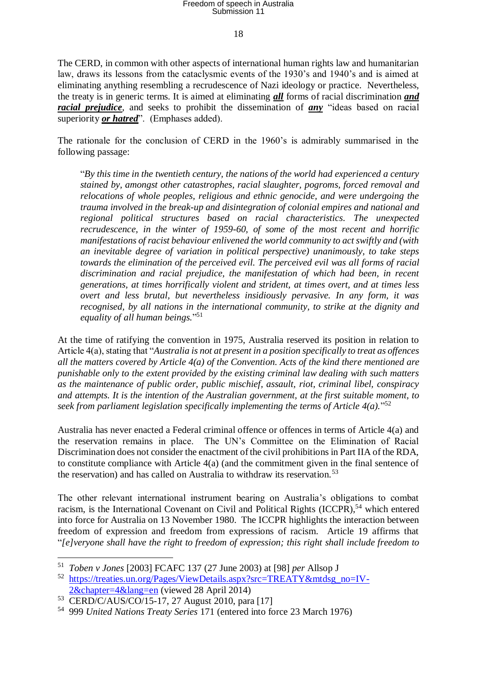18

The CERD, in common with other aspects of international human rights law and humanitarian law, draws its lessons from the cataclysmic events of the 1930's and 1940's and is aimed at eliminating anything resembling a recrudescence of Nazi ideology or practice. Nevertheless, the treaty is in generic terms. It is aimed at eliminating *all* forms of racial discrimination *and racial prejudice*, and seeks to prohibit the dissemination of *any* "ideas based on racial superiority *or hatred*". (Emphases added).

The rationale for the conclusion of CERD in the 1960's is admirably summarised in the following passage:

"*By this time in the twentieth century, the nations of the world had experienced a century stained by, amongst other catastrophes, racial slaughter, pogroms, forced removal and relocations of whole peoples, religious and ethnic genocide, and were undergoing the trauma involved in the break-up and disintegration of colonial empires and national and regional political structures based on racial characteristics. The unexpected recrudescence, in the winter of 1959-60, of some of the most recent and horrific manifestations of racist behaviour enlivened the world community to act swiftly and (with an inevitable degree of variation in political perspective) unanimously, to take steps towards the elimination of the perceived evil. The perceived evil was all forms of racial discrimination and racial prejudice, the manifestation of which had been, in recent generations, at times horrifically violent and strident, at times overt, and at times less overt and less brutal, but nevertheless insidiously pervasive. In any form, it was recognised, by all nations in the international community, to strike at the dignity and equality of all human beings.*" 51

At the time of ratifying the convention in 1975, Australia reserved its position in relation to Article 4(a), stating that "*Australia is not at present in a position specifically to treat as offences all the matters covered by Article 4(a) of the Convention. Acts of the kind there mentioned are punishable only to the extent provided by the existing criminal law dealing with such matters as the maintenance of public order, public mischief, assault, riot, criminal libel, conspiracy and attempts. It is the intention of the Australian government, at the first suitable moment, to seek from parliament legislation specifically implementing the terms of Article 4(a).*" 52

Australia has never enacted a Federal criminal offence or offences in terms of Article 4(a) and the reservation remains in place. The UN's Committee on the Elimination of Racial Discrimination does not consider the enactment of the civil prohibitions in Part IIA of the RDA, to constitute compliance with Article  $4(a)$  (and the commitment given in the final sentence of the reservation) and has called on Australia to withdraw its reservation.<sup>53</sup>

The other relevant international instrument bearing on Australia's obligations to combat racism, is the International Covenant on Civil and Political Rights  $(ICCPR)$ ,<sup>54</sup> which entered into force for Australia on 13 November 1980. The ICCPR highlights the interaction between freedom of expression and freedom from expressions of racism. Article 19 affirms that "*[e]veryone shall have the right to freedom of expression; this right shall include freedom to* 

<sup>51</sup> *Toben v Jones* [2003] FCAFC 137 (27 June 2003) at [98] *per* Allsop J

<sup>52</sup> [https://treaties.un.org/Pages/ViewDetails.aspx?src=TREATY&mtdsg\\_no=IV-](https://treaties.un.org/Pages/ViewDetails.aspx?src=TREATY&mtdsg_no=IV-2&chapter=4&lang=en)[2&chapter=4&lang=en](https://treaties.un.org/Pages/ViewDetails.aspx?src=TREATY&mtdsg_no=IV-2&chapter=4&lang=en) (viewed 28 April 2014)

<sup>53</sup> CERD/C/AUS/CO/15-17, 27 August 2010, para [17]

<sup>54</sup> 999 *United Nations Treaty Series* 171 (entered into force 23 March 1976)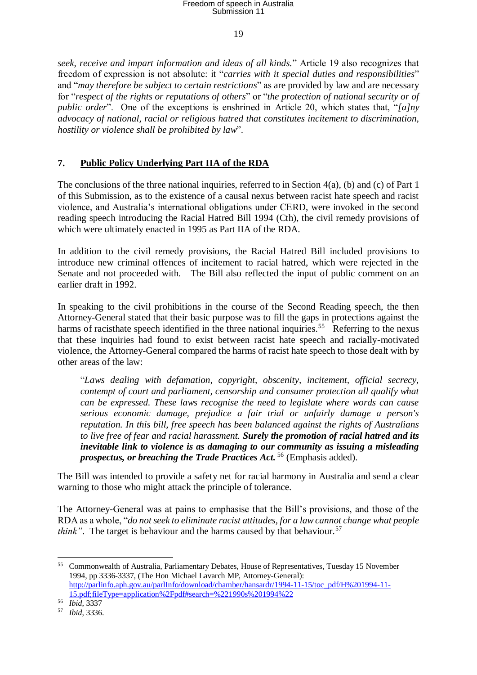19

*seek, receive and impart information and ideas of all kinds.*" Article 19 also recognizes that freedom of expression is not absolute: it "*carries with it special duties and responsibilities*" and "*may therefore be subject to certain restrictions*" as are provided by law and are necessary for "*respect of the rights or reputations of others*" or "*the protection of national security or of public order*". One of the exceptions is enshrined in Article 20, which states that, "*[a]ny advocacy of national, racial or religious hatred that constitutes incitement to discrimination, hostility or violence shall be prohibited by law*".

### **7. Public Policy Underlying Part IIA of the RDA**

The conclusions of the three national inquiries, referred to in Section 4(a), (b) and (c) of Part 1 of this Submission, as to the existence of a causal nexus between racist hate speech and racist violence, and Australia's international obligations under CERD, were invoked in the second reading speech introducing the Racial Hatred Bill 1994 (Cth), the civil remedy provisions of which were ultimately enacted in 1995 as Part IIA of the RDA.

In addition to the civil remedy provisions, the Racial Hatred Bill included provisions to introduce new criminal offences of incitement to racial hatred, which were rejected in the Senate and not proceeded with. The Bill also reflected the input of public comment on an earlier draft in 1992.

In speaking to the civil prohibitions in the course of the Second Reading speech, the then Attorney-General stated that their basic purpose was to fill the gaps in protections against the harms of racisthate speech identified in the three national inquiries.<sup>55</sup> Referring to the nexus that these inquiries had found to exist between racist hate speech and racially-motivated violence, the Attorney-General compared the harms of racist hate speech to those dealt with by other areas of the law:

"*Laws dealing with defamation, copyright, obscenity, incitement, official secrecy, contempt of court and parliament, censorship and consumer protection all qualify what can be expressed. These laws recognise the need to legislate where words can cause serious economic damage, prejudice a fair trial or unfairly damage a person's reputation. In this bill, free speech has been balanced against the rights of Australians to live free of fear and racial harassment. Surely the promotion of racial hatred and its inevitable link to violence is as damaging to our community as issuing a misleading prospectus, or breaching the Trade Practices Act.* <sup>56</sup> (Emphasis added).

The Bill was intended to provide a safety net for racial harmony in Australia and send a clear warning to those who might attack the principle of tolerance.

The Attorney-General was at pains to emphasise that the Bill's provisions, and those of the RDA as a whole, "*do not seek to eliminate racist attitudes, for a law cannot change what people think*". The target is behaviour and the harms caused by that behaviour.<sup>57</sup>

1

<sup>55</sup> Commonwealth of Australia, Parliamentary Debates, House of Representatives, Tuesday 15 November 1994, pp 3336-3337, (The Hon Michael Lavarch MP, Attorney-General): [http://parlinfo.aph.gov.au/parlInfo/download/chamber/hansardr/1994-11-15/toc\\_pdf/H%201994-11-](http://parlinfo.aph.gov.au/parlInfo/download/chamber/hansardr/1994-11-15/toc_pdf/H%201994-11-15.pdf;fileType=application%2Fpdf#search=%221990s%201994%22) [15.pdf;fileType=application%2Fpdf#search=%221990s%201994%22](http://parlinfo.aph.gov.au/parlInfo/download/chamber/hansardr/1994-11-15/toc_pdf/H%201994-11-15.pdf;fileType=application%2Fpdf#search=%221990s%201994%22)

<sup>56</sup> *Ibid*, 3337

<sup>57</sup> *Ibid*, 3336.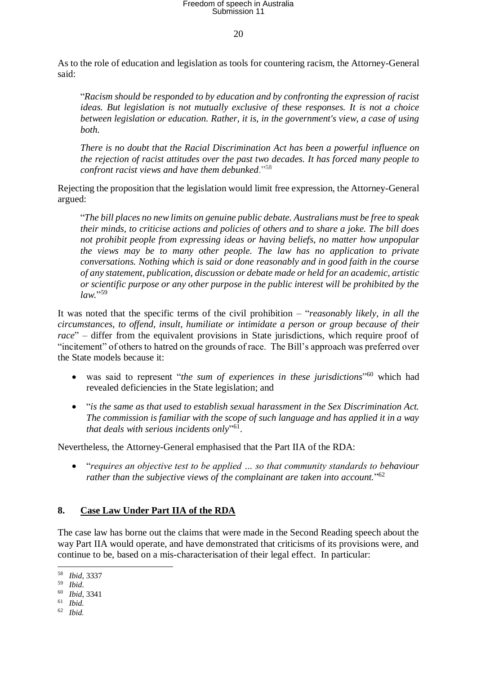20

As to the role of education and legislation as tools for countering racism, the Attorney-General said:

"*Racism should be responded to by education and by confronting the expression of racist ideas. But legislation is not mutually exclusive of these responses. It is not a choice between legislation or education. Rather, it is, in the government's view, a case of using both.* 

*There is no doubt that the Racial Discrimination Act has been a powerful influence on the rejection of racist attitudes over the past two decades. It has forced many people to confront racist views and have them debunked*."<sup>58</sup>

Rejecting the proposition that the legislation would limit free expression, the Attorney-General argued:

"*The bill places no new limits on genuine public debate. Australians must be free to speak their minds, to criticise actions and policies of others and to share a joke. The bill does not prohibit people from expressing ideas or having beliefs, no matter how unpopular the views may be to many other people. The law has no application to private conversations. Nothing which is said or done reasonably and in good faith in the course of any statement, publication, discussion or debate made or held for an academic, artistic or scientific purpose or any other purpose in the public interest will be prohibited by the law.*" 59

It was noted that the specific terms of the civil prohibition – "*reasonably likely, in all the circumstances, to offend, insult, humiliate or intimidate a person or group because of their race*" – differ from the equivalent provisions in State jurisdictions, which require proof of "incitement" of others to hatred on the grounds of race. The Bill's approach was preferred over the State models because it:

- was said to represent "*the sum of experiences in these jurisdictions*" <sup>60</sup> which had revealed deficiencies in the State legislation; and
- "*is the same as that used to establish sexual harassment in the Sex Discrimination Act. The commission is familiar with the scope of such language and has applied it in a way that deals with serious incidents only*" 61 .

Nevertheless, the Attorney-General emphasised that the Part IIA of the RDA:

 "*requires an objective test to be applied … so that community standards to behaviour rather than the subjective views of the complainant are taken into account.*" 62

### **8. Case Law Under Part IIA of the RDA**

The case law has borne out the claims that were made in the Second Reading speech about the way Part IIA would operate, and have demonstrated that criticisms of its provisions were, and continue to be, based on a mis-characterisation of their legal effect. In particular:

<sup>58</sup> *Ibid*, 3337

<sup>59</sup> *Ibid*.

<sup>60</sup> *Ibid*, 3341

<sup>61</sup> *Ibid.*

<sup>62</sup> *Ibid.*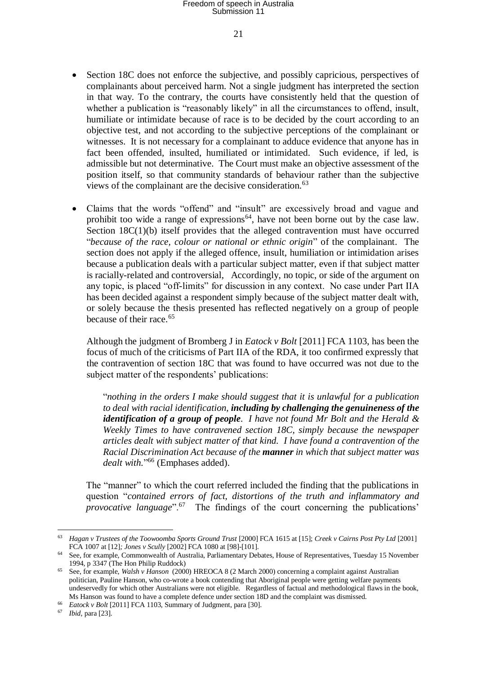21

- Section 18C does not enforce the subjective, and possibly capricious, perspectives of complainants about perceived harm. Not a single judgment has interpreted the section in that way. To the contrary, the courts have consistently held that the question of whether a publication is "reasonably likely" in all the circumstances to offend, insult, humiliate or intimidate because of race is to be decided by the court according to an objective test, and not according to the subjective perceptions of the complainant or witnesses. It is not necessary for a complainant to adduce evidence that anyone has in fact been offended, insulted, humiliated or intimidated. Such evidence, if led, is admissible but not determinative. The Court must make an objective assessment of the position itself, so that community standards of behaviour rather than the subjective views of the complainant are the decisive consideration.<sup>63</sup>
- Claims that the words "offend" and "insult" are excessively broad and vague and prohibit too wide a range of expressions<sup> $64$ </sup>, have not been borne out by the case law. Section 18C(1)(b) itself provides that the alleged contravention must have occurred "*because of the race, colour or national or ethnic origin*" of the complainant. The section does not apply if the alleged offence, insult, humiliation or intimidation arises because a publication deals with a particular subject matter, even if that subject matter is racially-related and controversial, Accordingly, no topic, or side of the argument on any topic, is placed "off-limits" for discussion in any context. No case under Part IIA has been decided against a respondent simply because of the subject matter dealt with, or solely because the thesis presented has reflected negatively on a group of people because of their race.<sup>65</sup>

Although the judgment of Bromberg J in *Eatock v Bolt* [2011] FCA 1103, has been the focus of much of the criticisms of Part IIA of the RDA, it too confirmed expressly that the contravention of section 18C that was found to have occurred was not due to the subject matter of the respondents' publications:

"*nothing in the orders I make should suggest that it is unlawful for a publication to deal with racial identification, including by challenging the genuineness of the identification of a group of people. I have not found Mr Bolt and the Herald & Weekly Times to have contravened section 18C, simply because the newspaper articles dealt with subject matter of that kind. I have found a contravention of the Racial Discrimination Act because of the manner in which that subject matter was dealt with.*" <sup>66</sup> (Emphases added).

The "manner" to which the court referred included the finding that the publications in question "*contained errors of fact, distortions of the truth and inflammatory and provocative language*".<sup>67</sup> The findings of the court concerning the publications'

<sup>63</sup> *Hagan v Trustees of the Toowoomba Sports Ground Trust* [2000] FCA 1615 at [15]; *Creek v Cairns Post Pty Ltd* [2001] FCA 1007 at [12]*; Jones v Scully* [2002] FCA 1080 at [98]-[101].

<sup>64</sup> See, for example, Commonwealth of Australia, Parliamentary Debates, House of Representatives, Tuesday 15 November 1994, p 3347 (The Hon Philip Ruddock)

<sup>65</sup> See, for example, *Walsh v Hanson* (2000) HREOCA 8 (2 March 2000) concerning a complaint against Australian politician, Pauline Hanson, who co-wrote a book contending that Aboriginal people were getting welfare payments undeservedly for which other Australians were not eligible. Regardless of factual and methodological flaws in the book, Ms Hanson was found to have a complete defence under section 18D and the complaint was dismissed.

<sup>66</sup> *Eatock v Bolt* [2011] FCA 1103, Summary of Judgment, para [30].

<sup>67</sup> *Ibid*, para [23].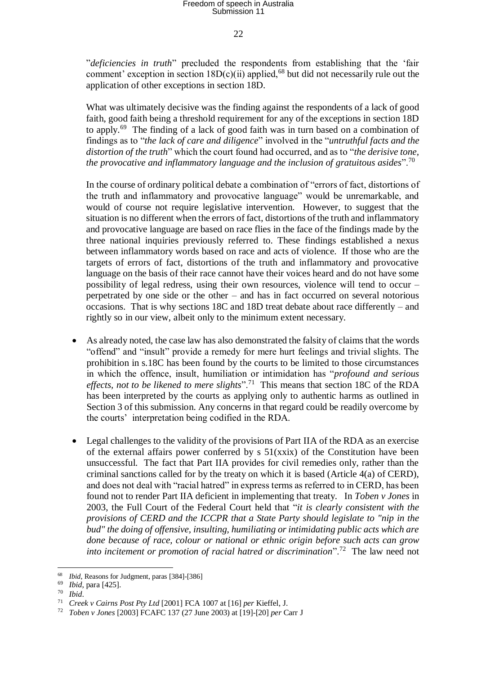22

"*deficiencies in truth*" precluded the respondents from establishing that the 'fair comment' exception in section  $18D(c)(ii)$  applied,<sup>68</sup> but did not necessarily rule out the application of other exceptions in section 18D.

What was ultimately decisive was the finding against the respondents of a lack of good faith, good faith being a threshold requirement for any of the exceptions in section 18D to apply.<sup>69</sup> The finding of a lack of good faith was in turn based on a combination of findings as to "*the lack of care and diligence*" involved in the "*untruthful facts and the distortion of the truth*" which the court found had occurred, and as to "*the derisive tone, the provocative and inflammatory language and the inclusion of gratuitous asides*".<sup>70</sup>

In the course of ordinary political debate a combination of "errors of fact, distortions of the truth and inflammatory and provocative language" would be unremarkable, and would of course not require legislative intervention. However, to suggest that the situation is no different when the errors of fact, distortions of the truth and inflammatory and provocative language are based on race flies in the face of the findings made by the three national inquiries previously referred to. These findings established a nexus between inflammatory words based on race and acts of violence. If those who are the targets of errors of fact, distortions of the truth and inflammatory and provocative language on the basis of their race cannot have their voices heard and do not have some possibility of legal redress, using their own resources, violence will tend to occur – perpetrated by one side or the other – and has in fact occurred on several notorious occasions. That is why sections 18C and 18D treat debate about race differently – and rightly so in our view, albeit only to the minimum extent necessary.

- As already noted, the case law has also demonstrated the falsity of claims that the words "offend" and "insult" provide a remedy for mere hurt feelings and trivial slights. The prohibition in s.18C has been found by the courts to be limited to those circumstances in which the offence, insult, humiliation or intimidation has "*profound and serious*  effects, not to be likened to mere slights".<sup>71</sup> This means that section 18C of the RDA has been interpreted by the courts as applying only to authentic harms as outlined in Section 3 of this submission. Any concerns in that regard could be readily overcome by the courts' interpretation being codified in the RDA.
- Legal challenges to the validity of the provisions of Part IIA of the RDA as an exercise of the external affairs power conferred by  $s$  51(xxix) of the Constitution have been unsuccessful. The fact that Part IIA provides for civil remedies only, rather than the criminal sanctions called for by the treaty on which it is based (Article  $4(a)$ ) of CERD), and does not deal with "racial hatred" in express terms as referred to in CERD, has been found not to render Part IIA deficient in implementing that treaty. In *Toben v Jones* in 2003, the Full Court of the Federal Court held that "*it is clearly consistent with the provisions of CERD and the ICCPR that a State Party should legislate to "nip in the bud" the doing of offensive, insulting, humiliating or intimidating public acts which are done because of race, colour or national or ethnic origin before such acts can grow*  into incitement or promotion of racial hatred or discrimination".<sup>72</sup> The law need not

1

<sup>68</sup> *Ibid*, Reasons for Judgment, paras [384]-[386]

<sup>69</sup> *Ibid*, para [425].

<sup>70</sup> *Ibid*.

<sup>71</sup> *Creek v Cairns Post Pty Ltd* [2001] FCA 1007 at [16] *per* Kieffel, J.

<sup>72</sup> *Toben v Jones* [2003] FCAFC 137 (27 June 2003) at [19]-[20] *per* Carr J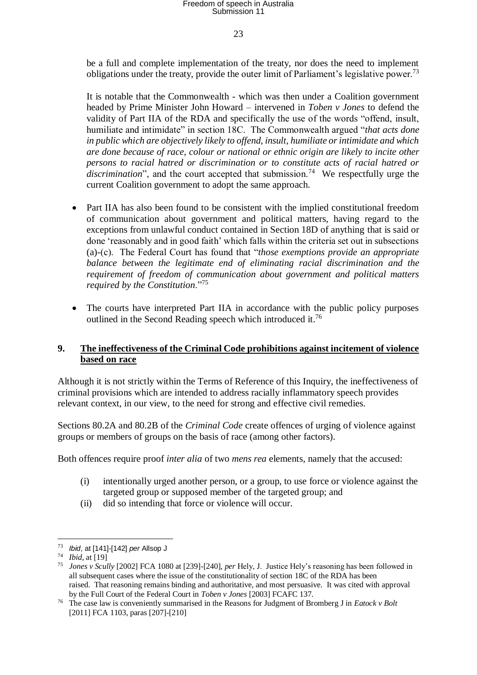23

be a full and complete implementation of the treaty, nor does the need to implement obligations under the treaty, provide the outer limit of Parliament's legislative power.<sup>73</sup>

It is notable that the Commonwealth - which was then under a Coalition government headed by Prime Minister John Howard – intervened in *Toben v Jones* to defend the validity of Part IIA of the RDA and specifically the use of the words "offend, insult, humiliate and intimidate" in section 18C. The Commonwealth argued "*that acts done in public which are objectively likely to offend, insult, humiliate or intimidate and which are done because of race, colour or national or ethnic origin are likely to incite other persons to racial hatred or discrimination or to constitute acts of racial hatred or*  discrimination", and the court accepted that submission.<sup>74</sup> We respectfully urge the current Coalition government to adopt the same approach.

- Part IIA has also been found to be consistent with the implied constitutional freedom of communication about government and political matters, having regard to the exceptions from unlawful conduct contained in Section 18D of anything that is said or done 'reasonably and in good faith' which falls within the criteria set out in subsections (a)-(c). The Federal Court has found that "*those exemptions provide an appropriate balance between the legitimate end of eliminating racial discrimination and the requirement of freedom of communication about government and political matters required by the Constitution*."<sup>75</sup>
- The courts have interpreted Part IIA in accordance with the public policy purposes outlined in the Second Reading speech which introduced it.<sup>76</sup>

#### **9. The ineffectiveness of the Criminal Code prohibitions against incitement of violence based on race**

Although it is not strictly within the Terms of Reference of this Inquiry, the ineffectiveness of criminal provisions which are intended to address racially inflammatory speech provides relevant context, in our view, to the need for strong and effective civil remedies.

Sections 80.2A and 80.2B of the *Criminal Code* create offences of urging of violence against groups or members of groups on the basis of race (among other factors).

Both offences require proof *inter alia* of two *mens rea* elements, namely that the accused:

- (i) intentionally urged another person, or a group, to use force or violence against the targeted group or supposed member of the targeted group; and
- (ii) did so intending that force or violence will occur.

<sup>73</sup> *Ibid*, at [141]-[142] *per* Allsop J

<sup>74</sup> *Ibid*, at [19]

<sup>75</sup> *Jones v Scully* [2002] FCA 1080 at [239]-[240], *per* Hely, J. Justice Hely's reasoning has been followed in all subsequent cases where the issue of the constitutionality of section 18C of the RDA has been raised. That reasoning remains binding and authoritative, and most persuasive. It was cited with approval by the Full Court of the Federal Court in *Toben v Jones* [2003] FCAFC 137.

<sup>76</sup> The case law is conveniently summarised in the Reasons for Judgment of Bromberg J in *Eatock v Bolt*  [2011] FCA 1103, paras [207]-[210]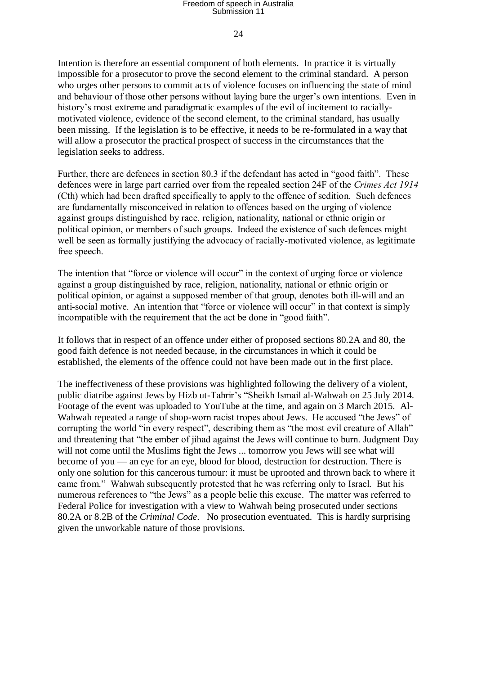#### $24$

Intention is therefore an essential component of both elements. In practice it is virtually impossible for a prosecutor to prove the second element to the criminal standard. A person who urges other persons to commit acts of violence focuses on influencing the state of mind and behaviour of those other persons without laying bare the urger's own intentions. Even in history's most extreme and paradigmatic examples of the evil of incitement to raciallymotivated violence, evidence of the second element, to the criminal standard, has usually been missing. If the legislation is to be effective, it needs to be re-formulated in a way that will allow a prosecutor the practical prospect of success in the circumstances that the legislation seeks to address.

Further, there are defences in section 80.3 if the defendant has acted in "good faith". These defences were in large part carried over from the repealed section 24F of the *Crimes Act 1914*  (Cth) which had been drafted specifically to apply to the offence of sedition. Such defences are fundamentally misconceived in relation to offences based on the urging of violence against groups distinguished by race, religion, nationality, national or ethnic origin or political opinion, or members of such groups. Indeed the existence of such defences might well be seen as formally justifying the advocacy of racially-motivated violence, as legitimate free speech.

The intention that "force or violence will occur" in the context of urging force or violence against a group distinguished by race, religion, nationality, national or ethnic origin or political opinion, or against a supposed member of that group, denotes both ill-will and an anti-social motive. An intention that "force or violence will occur" in that context is simply incompatible with the requirement that the act be done in "good faith".

It follows that in respect of an offence under either of proposed sections 80.2A and 80, the good faith defence is not needed because, in the circumstances in which it could be established, the elements of the offence could not have been made out in the first place.

The ineffectiveness of these provisions was highlighted following the delivery of a violent, public diatribe against Jews by Hizb ut-Tahrir's "Sheikh Ismail al-Wahwah on 25 July 2014. Footage of the event was uploaded to YouTube at the time, and again on 3 March 2015. Al-Wahwah repeated a range of shop-worn racist tropes about Jews. He accused "the Jews" of corrupting the world "in every respect", describing them as "the most evil creature of Allah" and threatening that "the ember of jihad against the Jews will continue to burn. Judgment Day will not come until the Muslims fight the Jews ... tomorrow you Jews will see what will become of you — an eye for an eye, blood for blood, destruction for destruction. There is only one solution for this cancerous tumour: it must be uprooted and thrown back to where it came from." Wahwah subsequently protested that he was referring only to Israel. But his numerous references to "the Jews" as a people belie this excuse. The matter was referred to Federal Police for investigation with a view to Wahwah being prosecuted under sections 80.2A or 8.2B of the *Criminal Code*. No prosecution eventuated. This is hardly surprising given the unworkable nature of those provisions.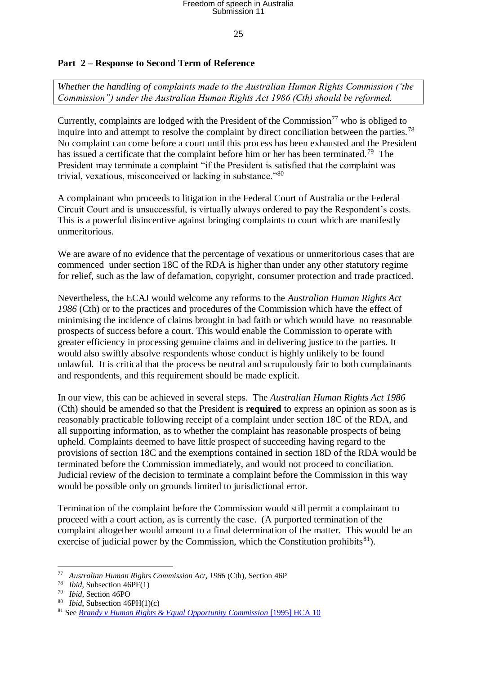#### 25

#### **Part 2 – Response to Second Term of Reference**

*Whether the handling of complaints made to the Australian Human Rights Commission ('the Commission") under the Australian Human Rights Act 1986 (Cth) should be reformed.*

Currently, complaints are lodged with the President of the Commission<sup>77</sup> who is obliged to inquire into and attempt to resolve the complaint by direct conciliation between the parties.<sup>78</sup> No complaint can come before a court until this process has been exhausted and the President has issued a certificate that the complaint before him or her has been terminated.<sup>79</sup> The President may terminate a complaint "if the President is satisfied that the complaint was trivial, vexatious, misconceived or lacking in substance."<sup>80</sup>

A complainant who proceeds to litigation in the Federal Court of Australia or the Federal Circuit Court and is unsuccessful, is virtually always ordered to pay the Respondent's costs. This is a powerful disincentive against bringing complaints to court which are manifestly unmeritorious.

We are aware of no evidence that the percentage of vexatious or unmeritorious cases that are commenced under section 18C of the RDA is higher than under any other statutory regime for relief, such as the law of defamation, copyright, consumer protection and trade practiced.

Nevertheless, the ECAJ would welcome any reforms to the *Australian Human Rights Act 1986* (Cth) or to the practices and procedures of the Commission which have the effect of minimising the incidence of claims brought in bad faith or which would have no reasonable prospects of success before a court. This would enable the Commission to operate with greater efficiency in processing genuine claims and in delivering justice to the parties. It would also swiftly absolve respondents whose conduct is highly unlikely to be found unlawful. It is critical that the process be neutral and scrupulously fair to both complainants and respondents, and this requirement should be made explicit.

In our view, this can be achieved in several steps. The *Australian Human Rights Act 1986*  (Cth) should be amended so that the President is **required** to express an opinion as soon as is reasonably practicable following receipt of a complaint under section 18C of the RDA, and all supporting information, as to whether the complaint has reasonable prospects of being upheld. Complaints deemed to have little prospect of succeeding having regard to the provisions of section 18C and the exemptions contained in section 18D of the RDA would be terminated before the Commission immediately, and would not proceed to conciliation. Judicial review of the decision to terminate a complaint before the Commission in this way would be possible only on grounds limited to jurisdictional error.

Termination of the complaint before the Commission would still permit a complainant to proceed with a court action, as is currently the case. (A purported termination of the complaint altogether would amount to a final determination of the matter. This would be an exercise of judicial power by the Commission, which the Constitution prohibits ${}^{81}$ ).

<sup>77</sup> *Australian Human Rights Commission Act, 1986* (Cth), Section 46P

<sup>78</sup> *Ibid*, Subsection 46PF(1)

<sup>79</sup> *Ibid*, Section 46PO

<sup>80</sup> *Ibid*, Subsection 46PH(1)(c)

<sup>81</sup> See *[Brandy v Human Rights & Equal Opportunity Commission](http://www.austlii.edu.au/au/cases/cth/HCA/1995/10.html)* [1995] HCA 10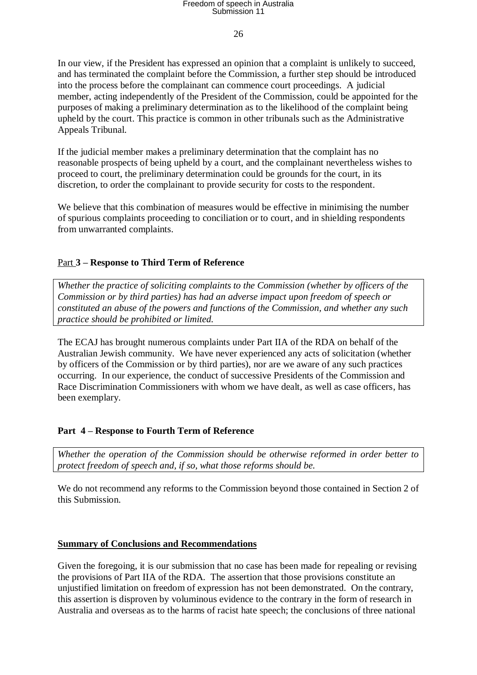#### 26

In our view, if the President has expressed an opinion that a complaint is unlikely to succeed, and has terminated the complaint before the Commission, a further step should be introduced into the process before the complainant can commence court proceedings. A judicial member, acting independently of the President of the Commission, could be appointed for the purposes of making a preliminary determination as to the likelihood of the complaint being upheld by the court. This practice is common in other tribunals such as the Administrative Appeals Tribunal.

If the judicial member makes a preliminary determination that the complaint has no reasonable prospects of being upheld by a court, and the complainant nevertheless wishes to proceed to court, the preliminary determination could be grounds for the court, in its discretion, to order the complainant to provide security for costs to the respondent.

We believe that this combination of measures would be effective in minimising the number of spurious complaints proceeding to conciliation or to court, and in shielding respondents from unwarranted complaints.

#### Part **3 – Response to Third Term of Reference**

*Whether the practice of soliciting complaints to the Commission (whether by officers of the Commission or by third parties) has had an adverse impact upon freedom of speech or constituted an abuse of the powers and functions of the Commission, and whether any such practice should be prohibited or limited.*

The ECAJ has brought numerous complaints under Part IIA of the RDA on behalf of the Australian Jewish community. We have never experienced any acts of solicitation (whether by officers of the Commission or by third parties), nor are we aware of any such practices occurring. In our experience, the conduct of successive Presidents of the Commission and Race Discrimination Commissioners with whom we have dealt, as well as case officers, has been exemplary.

#### **Part 4 – Response to Fourth Term of Reference**

*Whether the operation of the Commission should be otherwise reformed in order better to protect freedom of speech and, if so, what those reforms should be.*

We do not recommend any reforms to the Commission beyond those contained in Section 2 of this Submission.

#### **Summary of Conclusions and Recommendations**

Given the foregoing, it is our submission that no case has been made for repealing or revising the provisions of Part IIA of the RDA. The assertion that those provisions constitute an unjustified limitation on freedom of expression has not been demonstrated. On the contrary, this assertion is disproven by voluminous evidence to the contrary in the form of research in Australia and overseas as to the harms of racist hate speech; the conclusions of three national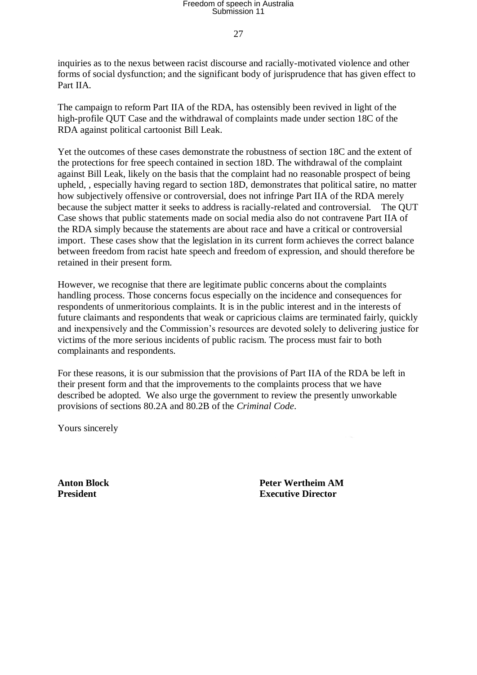27

inquiries as to the nexus between racist discourse and racially-motivated violence and other forms of social dysfunction; and the significant body of jurisprudence that has given effect to Part IIA.

The campaign to reform Part IIA of the RDA, has ostensibly been revived in light of the high-profile QUT Case and the withdrawal of complaints made under section 18C of the RDA against political cartoonist Bill Leak.

Yet the outcomes of these cases demonstrate the robustness of section 18C and the extent of the protections for free speech contained in section 18D. The withdrawal of the complaint against Bill Leak, likely on the basis that the complaint had no reasonable prospect of being upheld, , especially having regard to section 18D, demonstrates that political satire, no matter how subjectively offensive or controversial, does not infringe Part IIA of the RDA merely because the subject matter it seeks to address is racially-related and controversial. The QUT Case shows that public statements made on social media also do not contravene Part IIA of the RDA simply because the statements are about race and have a critical or controversial import. These cases show that the legislation in its current form achieves the correct balance between freedom from racist hate speech and freedom of expression, and should therefore be retained in their present form.

However, we recognise that there are legitimate public concerns about the complaints handling process. Those concerns focus especially on the incidence and consequences for respondents of unmeritorious complaints. It is in the public interest and in the interests of future claimants and respondents that weak or capricious claims are terminated fairly, quickly and inexpensively and the Commission's resources are devoted solely to delivering justice for victims of the more serious incidents of public racism. The process must fair to both complainants and respondents.

For these reasons, it is our submission that the provisions of Part IIA of the RDA be left in their present form and that the improvements to the complaints process that we have described be adopted. We also urge the government to review the presently unworkable provisions of sections 80.2A and 80.2B of the *Criminal Code*.

Yours sincerely

**Anton Block Peter Wertheim AM President Executive Director**  Executive Director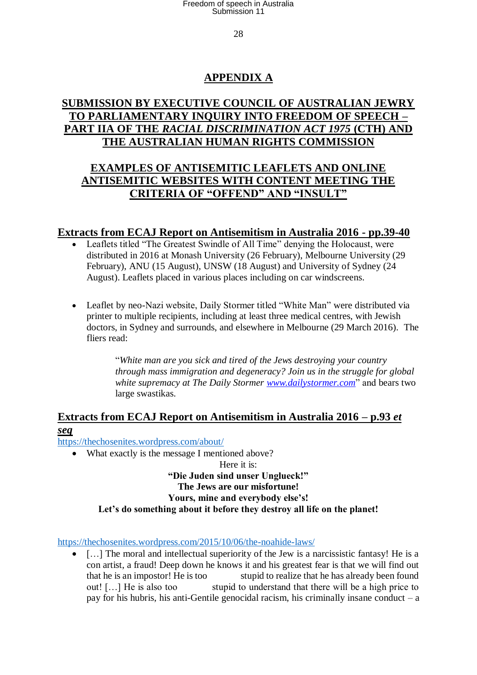28

### **APPENDIX A**

### **SUBMISSION BY EXECUTIVE COUNCIL OF AUSTRALIAN JEWRY TO PARLIAMENTARY INQUIRY INTO FREEDOM OF SPEECH – PART IIA OF THE** *RACIAL DISCRIMINATION ACT 1975* **(CTH) AND THE AUSTRALIAN HUMAN RIGHTS COMMISSION**

### **EXAMPLES OF ANTISEMITIC LEAFLETS AND ONLINE ANTISEMITIC WEBSITES WITH CONTENT MEETING THE CRITERIA OF "OFFEND" AND "INSULT"**

### **Extracts from ECAJ Report on Antisemitism in Australia 2016 - pp.39-40**

- Leaflets titled "The Greatest Swindle of All Time" denying the Holocaust, were distributed in 2016 at Monash University (26 February), Melbourne University (29 February), ANU (15 August), UNSW (18 August) and University of Sydney (24 August). Leaflets placed in various places including on car windscreens.
- Leaflet by neo-Nazi website, Daily Stormer titled "White Man" were distributed via printer to multiple recipients, including at least three medical centres, with Jewish doctors, in Sydney and surrounds, and elsewhere in Melbourne (29 March 2016). The fliers read:

"*White man are you sick and tired of the Jews destroying your country through mass immigration and degeneracy? Join us in the struggle for global white supremacy at The Daily Stormer [www.dailystormer.com](http://www.dailystormer.com/)*" and bears two large swastikas.

### **Extracts from ECAJ Report on Antisemitism in Australia 2016 – p.93** *et seq*

<https://thechosenites.wordpress.com/about/>

• What exactly is the message I mentioned above?

Here it is: **"Die Juden sind unser Unglueck!" The Jews are our misfortune! Yours, mine and everybody else's! Let's do something about it before they destroy all life on the planet!**

<https://thechosenites.wordpress.com/2015/10/06/the-noahide-laws/>

• [...] The moral and intellectual superiority of the Jew is a narcissistic fantasy! He is a con artist, a fraud! Deep down he knows it and his greatest fear is that we will find out that he is an impostor! He is too stupid to realize that he has already been found out! […] He is also too stupid to understand that there will be a high price to pay for his hubris, his anti-Gentile genocidal racism, his criminally insane conduct  $-a$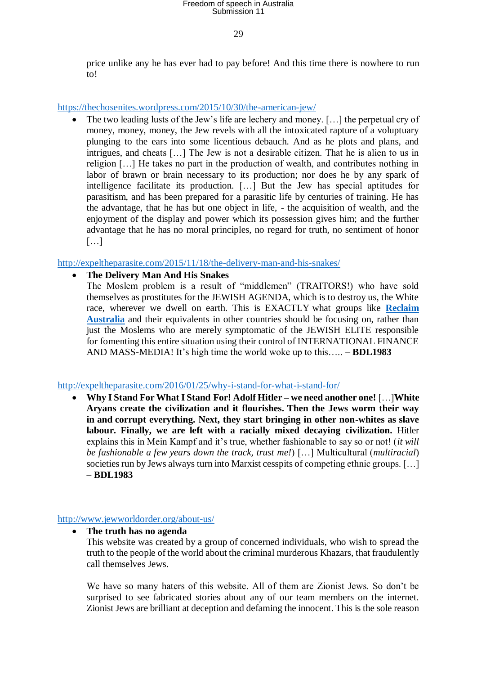29

price unlike any he has ever had to pay before! And this time there is nowhere to run to!

<https://thechosenites.wordpress.com/2015/10/30/the-american-jew/>

 The two leading lusts of the Jew's life are lechery and money. […] the perpetual cry of money, money, money, the Jew revels with all the intoxicated rapture of a voluptuary plunging to the ears into some licentious debauch. And as he plots and plans, and intrigues, and cheats […] The Jew is not a desirable citizen. That he is alien to us in religion […] He takes no part in the production of wealth, and contributes nothing in labor of brawn or brain necessary to its production; nor does he by any spark of intelligence facilitate its production. […] But the Jew has special aptitudes for parasitism, and has been prepared for a parasitic life by centuries of training. He has the advantage, that he has but one object in life, - the acquisition of wealth, and the enjoyment of the display and power which its possession gives him; and the further advantage that he has no moral principles, no regard for truth, no sentiment of honor […]

<http://expeltheparasite.com/2015/11/18/the-delivery-man-and-his-snakes/>

#### **The Delivery Man And His Snakes**

The Moslem problem is a result of "middlemen" (TRAITORS!) who have sold themselves as prostitutes for the JEWISH AGENDA, which is to destroy us, the White race, wherever we dwell on earth. This is EXACTLY what groups like **[Reclaim](http://www.reclaim-australia.com/)  [Australia](http://www.reclaim-australia.com/)** and their equivalents in other countries should be focusing on, rather than just the Moslems who are merely symptomatic of the JEWISH ELITE responsible for fomenting this entire situation using their control of INTERNATIONAL FINANCE AND MASS-MEDIA! It's high time the world woke up to this….. **– BDL1983**

<http://expeltheparasite.com/2016/01/25/why-i-stand-for-what-i-stand-for/>

 **Why I Stand For What I Stand For! Adolf Hitler – we need another one!** […]**White Aryans create the civilization and it flourishes. Then the Jews worm their way in and corrupt everything. Next, they start bringing in other non-whites as slave labour. Finally, we are left with a racially mixed decaying civilization.** Hitler explains this in Mein Kampf and it's true, whether fashionable to say so or not! (*it will be fashionable a few years down the track, trust me!*) […] Multicultural (*multiracial*) societies run by Jews always turn into Marxist cesspits of competing ethnic groups. […] **– BDL1983**

#### <http://www.jewworldorder.org/about-us/>

**The truth has no agenda**

This website was created by a group of concerned individuals, who wish to spread the truth to the people of the world about the criminal murderous Khazars, that fraudulently call themselves Jews.

We have so many haters of this website. All of them are Zionist Jews. So don't be surprised to see fabricated stories about any of our team members on the internet. Zionist Jews are brilliant at deception and defaming the innocent. This is the sole reason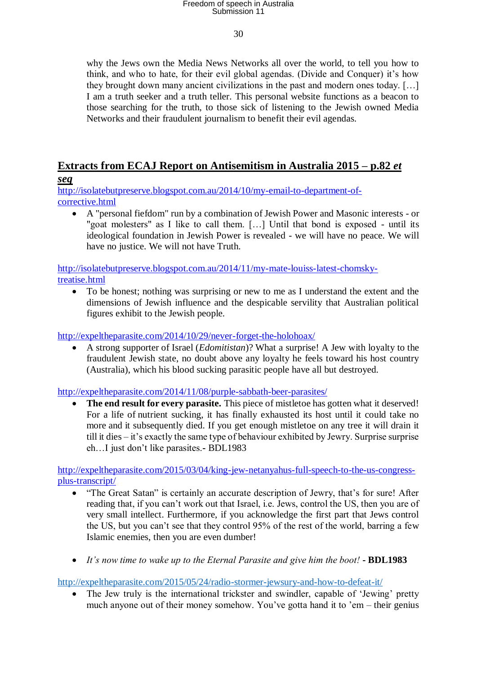#### 30

why the Jews own the Media News Networks all over the world, to tell you how to think, and who to hate, for their evil global agendas. (Divide and Conquer) it's how they brought down many ancient civilizations in the past and modern ones today. […] I am a truth seeker and a truth teller. This personal website functions as a beacon to those searching for the truth, to those sick of listening to the Jewish owned Media Networks and their fraudulent journalism to benefit their evil agendas.

### **Extracts from ECAJ Report on Antisemitism in Australia 2015 – p.82** *et*

### *seq*

[http://isolatebutpreserve.blogspot.com.au/2014/10/my-email-to-department-of](http://isolatebutpreserve.blogspot.com.au/2014/10/my-email-to-department-of-corrective.html)[corrective.html](http://isolatebutpreserve.blogspot.com.au/2014/10/my-email-to-department-of-corrective.html)

 A "personal fiefdom" run by a combination of Jewish Power and Masonic interests - or "goat molesters" as I like to call them. […] Until that bond is exposed - until its ideological foundation in Jewish Power is revealed - we will have no peace. We will have no justice. We will not have Truth.

[http://isolatebutpreserve.blogspot.com.au/2014/11/my-mate-louiss-latest-chomsky](http://isolatebutpreserve.blogspot.com.au/2014/11/my-mate-louiss-latest-chomsky-treatise.html)[treatise.html](http://isolatebutpreserve.blogspot.com.au/2014/11/my-mate-louiss-latest-chomsky-treatise.html)

 To be honest; nothing was surprising or new to me as I understand the extent and the dimensions of Jewish influence and the despicable servility that Australian political figures exhibit to the Jewish people.

<http://expeltheparasite.com/2014/10/29/never-forget-the-holohoax/>

 A strong supporter of Israel (*Edomitistan*)? What a surprise! A Jew with loyalty to the fraudulent Jewish state, no doubt above any loyalty he feels toward his host country (Australia), which his blood sucking parasitic people have all but destroyed.

<http://expeltheparasite.com/2014/11/08/purple-sabbath-beer-parasites/>

 **The end result for every parasite.** This piece of mistletoe has gotten what it deserved! For a life of nutrient sucking, it has finally exhausted its host until it could take no more and it subsequently died. If you get enough mistletoe on any tree it will drain it till it dies – it's exactly the same type of behaviour exhibited by Jewry. Surprise surprise eh…I just don't like parasites.**-** BDL1983

[http://expeltheparasite.com/2015/03/04/king-jew-netanyahus-full-speech-to-the-us-congress](http://expeltheparasite.com/2015/03/04/king-jew-netanyahus-full-speech-to-the-us-congress-plus-transcript/)[plus-transcript/](http://expeltheparasite.com/2015/03/04/king-jew-netanyahus-full-speech-to-the-us-congress-plus-transcript/)

- "The Great Satan" is certainly an accurate description of Jewry, that's for sure! After reading that, if you can't work out that Israel, i.e. Jews, control the US, then you are of very small intellect. Furthermore, if you acknowledge the first part that Jews control the US, but you can't see that they control 95% of the rest of the world, barring a few Islamic enemies, then you are even dumber!
- *It's now time to wake up to the Eternal Parasite and give him the boot!* **- BDL1983**

<http://expeltheparasite.com/2015/05/24/radio-stormer-jewsury-and-how-to-defeat-it/>

• The Jew truly is the international trickster and swindler, capable of 'Jewing' pretty much anyone out of their money somehow. You've gotta hand it to 'em – their genius